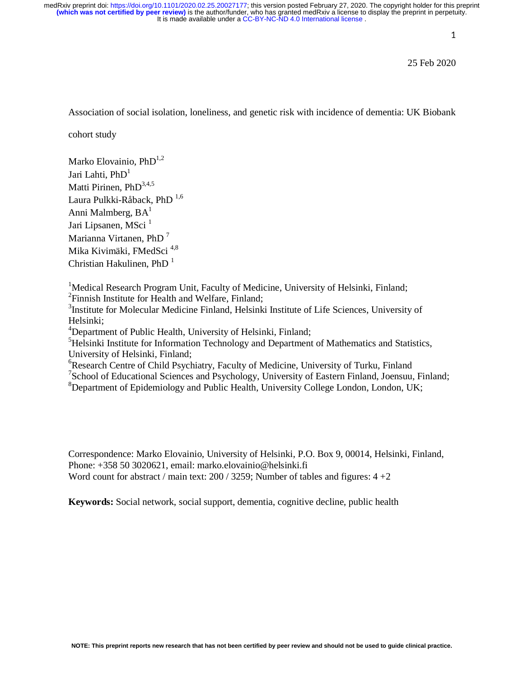$\mathbf{1}$ 

25 Feb 2020

Association of social isolation, loneliness, and genetic risk with incidence of dementia: UK Biobank

cohort study

25 Feb 2020<br>
Association of social isolation, loneliness, and genetic risk with incidence of dementia: UK Biobank<br>
cohort study<br>
Marko Elovainio, PhD<sup>1,2</sup><br>
Marko Elovainio, PhD<sup>1,2</sup><br>
Mari Lahti, PhD<sup>1</sup><br>
Mari Lanna Virtanen Marko Elovainio, PhD<sup>1,2</sup> Jari Lahti, PhD<sup>1</sup> Matti Pirinen, PhD<sup>3,4,5</sup> Laura Pulkki-Råback, PhD<sup>1,6</sup> Anni Malmberg,  $BA<sup>1</sup>$ Jari Lipsanen, MSci<sup>1</sup> Marianna Virtanen, PhD<sup>7</sup> Mika Kivimäki, FMedSci 4,8 Christian Hakulinen,  $PhD<sup>1</sup>$ 

<sup>1</sup>Medical Research Program Unit, Faculty of Medicine, University of Helsinki, Finland;

<sup>2</sup> Finnish Institute for Health and Welfare, Finland;

<sup>3</sup>Institute for Molecular Medicine Finland, Helsinki Institute of Life Sciences, University of Helsinki;

<sup>4</sup>Department of Public Health, University of Helsinki, Finland;

<sup>5</sup>Helsinki Institute for Information Technology and Department of Mathematics and Statistics, University of Helsinki, Finland;

<sup>6</sup>Research Centre of Child Psychiatry, Faculty of Medicine, University of Turku, Finland <sup>7</sup>School of Educational Sciences and Psychology, University of Eastern Finland, Joensuu, Finland; <sup>8</sup>Department of Epidemiology and Public Health, University College London, London, UK;

Correspondence: Marko Elovainio, University of Helsinki, P.O. Box 9, 00014, Helsinki, Finland, Phone: +358 50 3020621, email: marko.elovainio@helsinki.fi Word count for abstract / main text: 200 / 3259; Number of tables and figures:  $4+2$ 

**Keywords:** Social network, social support, dementia, cognitive decline, public health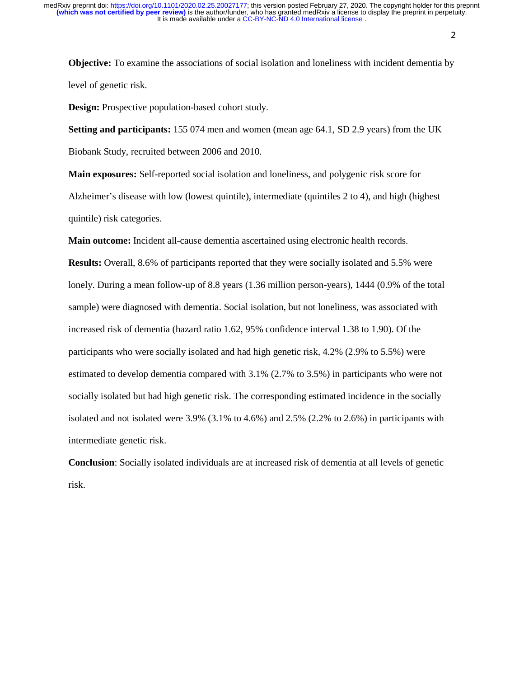$\overline{2}$ 

**Objective:** To examine the associations of social isolation and loneliness with incident dementia by level of genetic risk.

**Design:** Prospective population-based cohort study.

**Setting and participants:** 155 074 men and women (mean age 64.1, SD 2.9 years) from the UK Biobank Study, recruited between 2006 and 2010.

**Objective:** To examine the associations of social isolation and loneliness with incident dementia by<br>level of genetic risk.<br>**Design:** Prospective population-based cohort study.<br>**Setting and participants:** 155 074 men and **Main exposures:** Self-reported social isolation and loneliness, and polygenic risk score for Alzheimer's disease with low (lowest quintile), intermediate (quintiles 2 to 4), and high (highest quintile) risk categories.

**Main outcome:** Incident all-cause dementia ascertained using electronic health records.

**Results:** Overall, 8.6% of participants reported that they were socially isolated and 5.5% were lonely. During a mean follow-up of 8.8 years (1.36 million person-years), 1444 (0.9% of the total sample) were diagnosed with dementia. Social isolation, but not loneliness, was associated with increased risk of dementia (hazard ratio 1.62, 95% confidence interval 1.38 to 1.90). Of the participants who were socially isolated and had high genetic risk, 4.2% (2.9% to 5.5%) were estimated to develop dementia compared with 3.1% (2.7% to 3.5%) in participants who were not socially isolated but had high genetic risk. The corresponding estimated incidence in the socially isolated and not isolated were 3.9% (3.1% to 4.6%) and 2.5% (2.2% to 2.6%) in participants with intermediate genetic risk.

**Conclusion**: Socially isolated individuals are at increased risk of dementia at all levels of genetic risk.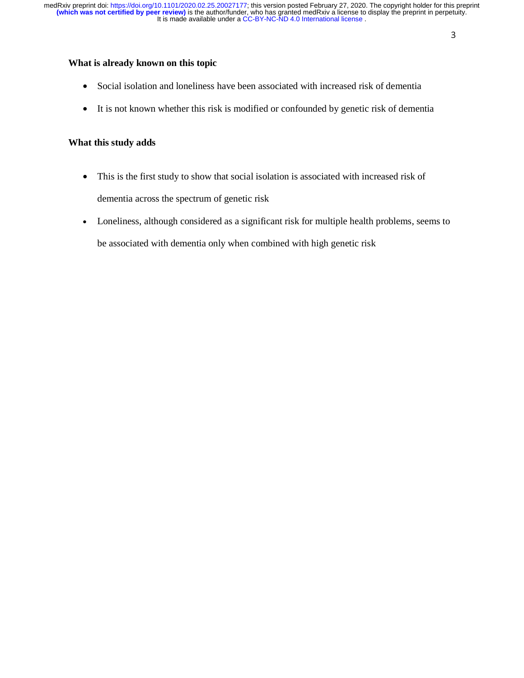## **What is already known on this topic**

- Social isolation and loneliness have been associated with increased risk of dementia
- It is not known whether this risk is modified or confounded by genetic risk of dementia

## **What this study adds**

- What is already known on this topic<br>
 Social isolation and loneliness have been associated with increased risk of dementia<br>
 It is not known whether this risk is modified or confounded by genetic risk of dementia<br>
 It • This is the first study to show that social isolation is associated with increased risk of dementia across the spectrum of genetic risk
	- Loneliness, although considered as a significant risk for multiple health problems, seems to

be associated with dementia only when combined with high genetic risk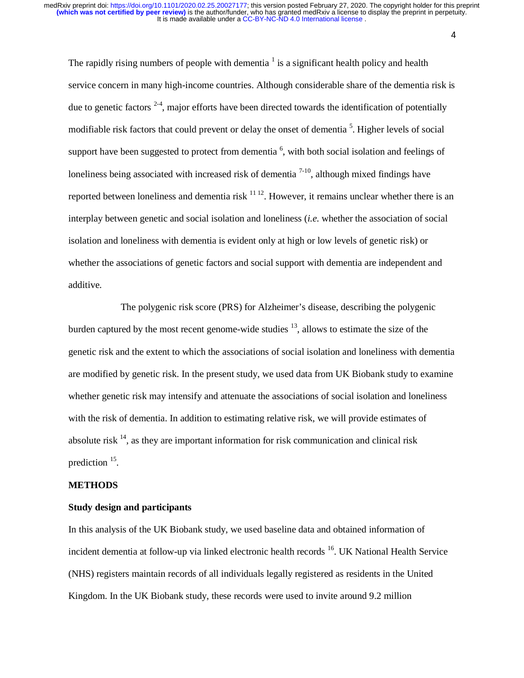$\overline{\mathbf{A}}$ 

The rapidly rising numbers of people with dementia<sup>1</sup> is a significant health policy and health<br>service concern in many high-income countries. Although considerable share of the dementia risk is<br>due to genetic factors <sup>2-</sup> The rapidly rising numbers of people with dementia  $<sup>1</sup>$  is a significant health policy and health</sup> service concern in many high-income countries. Although considerable share of the dementia risk is due to genetic factors  $2-4$ , major efforts have been directed towards the identification of potentially modifiable risk factors that could prevent or delay the onset of dementia<sup>5</sup>. Higher levels of social support have been suggested to protect from dementia  $6$ , with both social isolation and feelings of loneliness being associated with increased risk of dementia  $7-10$ , although mixed findings have reported between loneliness and dementia risk  $11^{12}$ . However, it remains unclear whether there is an interplay between genetic and social isolation and loneliness (*i.e.* whether the association of social isolation and loneliness with dementia is evident only at high or low levels of genetic risk) or whether the associations of genetic factors and social support with dementia are independent and additive.

The polygenic risk score (PRS) for Alzheimer's disease, describing the polygenic burden captured by the most recent genome-wide studies  $\frac{13}{2}$ , allows to estimate the size of the genetic risk and the extent to which the associations of social isolation and loneliness with dementia are modified by genetic risk. In the present study, we used data from UK Biobank study to examine whether genetic risk may intensify and attenuate the associations of social isolation and loneliness with the risk of dementia. In addition to estimating relative risk, we will provide estimates of absolute risk  $14$ , as they are important information for risk communication and clinical risk prediction 15.

#### **METHODS**

#### **Study design and participants**

In this analysis of the UK Biobank study, we used baseline data and obtained information of incident dementia at follow-up via linked electronic health records <sup>16</sup>. UK National Health Service (NHS) registers maintain records of all individuals legally registered as residents in the United Kingdom. In the UK Biobank study, these records were used to invite around 9.2 million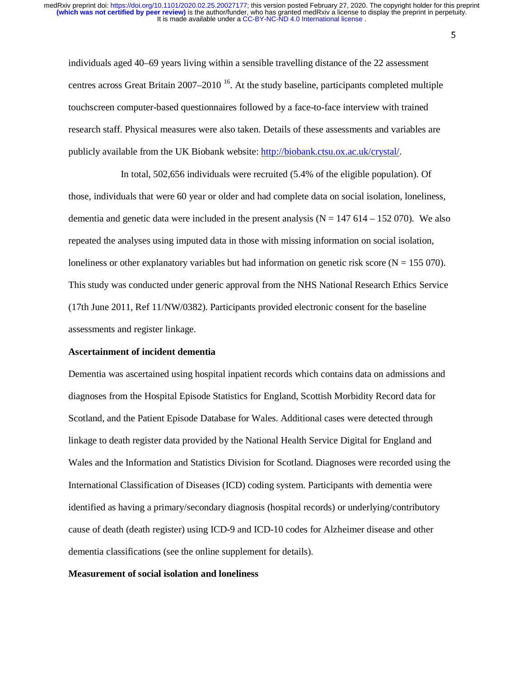5

individuals aged 40–69 years living within a sensible travelling distance of the 22 assessment<br>centres across Great Britain 2007–2010<sup>16</sup>. At the study baseline, participants completed multiple<br>touchscreen computer-based individuals aged 40–69 years living within a sensible travelling distance of the 22 assessment centres across Great Britain  $2007-2010^{-16}$ . At the study baseline, participants completed multiple touchscreen computer-based questionnaires followed by a face-to-face interview with trained research staff. Physical measures were also taken. Details of these assessments and variables are publicly available from the UK Biobank website: http://biobank.ctsu.ox.ac.uk/crystal/.

In total, 502,656 individuals were recruited (5.4% of the eligible population). Of those, individuals that were 60 year or older and had complete data on social isolation, loneliness, dementia and genetic data were included in the present analysis  $(N = 147614 - 152070)$ . We also repeated the analyses using imputed data in those with missing information on social isolation, loneliness or other explanatory variables but had information on genetic risk score  $(N = 155 070)$ . This study was conducted under generic approval from the NHS National Research Ethics Service (17th June 2011, Ref 11/NW/0382). Participants provided electronic consent for the baseline assessments and register linkage.

#### **Ascertainment of incident dementia**

Dementia was ascertained using hospital inpatient records which contains data on admissions and diagnoses from the Hospital Episode Statistics for England, Scottish Morbidity Record data for Scotland, and the Patient Episode Database for Wales. Additional cases were detected through linkage to death register data provided by the National Health Service Digital for England and Wales and the Information and Statistics Division for Scotland. Diagnoses were recorded using the International Classification of Diseases (ICD) coding system. Participants with dementia were identified as having a primary/secondary diagnosis (hospital records) or underlying/contributory cause of death (death register) using ICD-9 and ICD-10 codes for Alzheimer disease and other dementia classifications (see the online supplement for details).

#### **Measurement of social isolation and loneliness**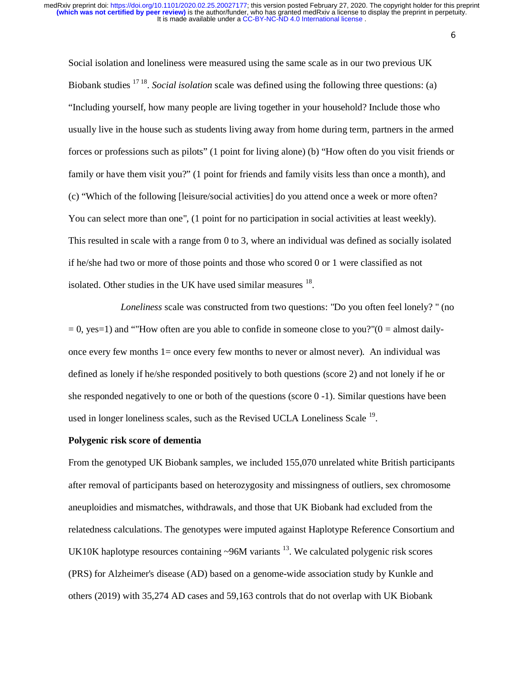6

Social isolation and loneliness were measured using the same scale as in our two previous UK<br>Biobank studies  $1718$ . *Social isolation* scale was defined using the following three questions: (a)<br>"Including yourself, how m Social isolation and loneliness were measured using the same scale as in our two previous UK Biobank studies 17 18. *Social isolation* scale was defined using the following three questions: (a) "Including yourself, how many people are living together in your household? Include those who usually live in the house such as students living away from home during term, partners in the armed forces or professions such as pilots" (1 point for living alone) (b) "How often do you visit friends or family or have them visit you?" (1 point for friends and family visits less than once a month), and (c) "Which of the following [leisure/social activities] do you attend once a week or more often? You can select more than one", (1 point for no participation in social activities at least weekly). This resulted in scale with a range from 0 to 3, where an individual was defined as socially isolated if he/she had two or more of those points and those who scored 0 or 1 were classified as not isolated. Other studies in the UK have used similar measures <sup>18</sup>.

*Loneliness* scale was constructed from two questions: "Do you often feel lonely? " (no  $= 0$ , yes=1) and ""How often are you able to confide in someone close to you?"(0 = almost dailyonce every few months 1= once every few months to never or almost never). An individual was defined as lonely if he/she responded positively to both questions (score 2) and not lonely if he or she responded negatively to one or both of the questions (score 0 -1). Similar questions have been used in longer loneliness scales, such as the Revised UCLA Loneliness Scale <sup>19</sup>.

#### **Polygenic risk score of dementia**

From the genotyped UK Biobank samples, we included 155,070 unrelated white British participants after removal of participants based on heterozygosity and missingness of outliers, sex chromosome aneuploidies and mismatches, withdrawals, and those that UK Biobank had excluded from the relatedness calculations. The genotypes were imputed against Haplotype Reference Consortium and UK10K haplotype resources containing  $\sim$ 96M variants  $^{13}$ . We calculated polygenic risk scores (PRS) for Alzheimer's disease (AD) based on a genome-wide association study by Kunkle and others (2019) with 35,274 AD cases and 59,163 controls that do not overlap with UK Biobank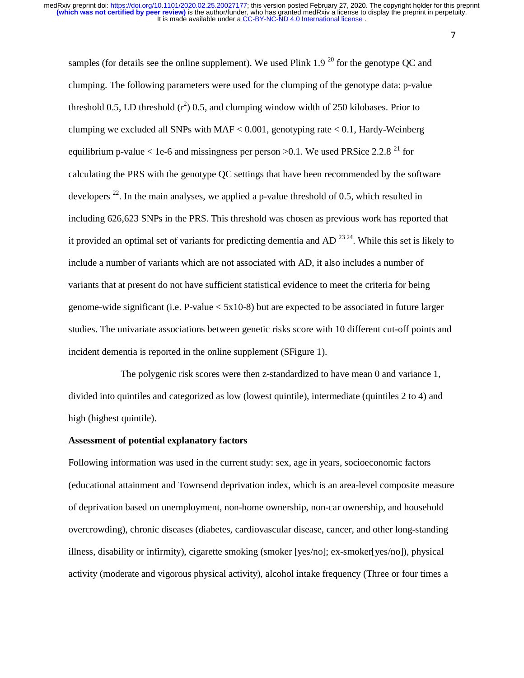$\overline{7}$ 

samples (for details see the online supplement). We used Plink 1.9<sup>20</sup> for the genotype QC and<br>clumping. The following parameters were used for the clumping of the genotype data: p-value<br>threshold 0.5, LD threshold (r<sup>2</sup>) samples (for details see the online supplement). We used Plink 1.9<sup>20</sup> for the genotype QC and clumping. The following parameters were used for the clumping of the genotype data: p-value threshold 0.5, LD threshold  $(r^2)$  0.5, and clumping window width of 250 kilobases. Prior to clumping we excluded all SNPs with MAF  $< 0.001$ , genotyping rate  $< 0.1$ , Hardy-Weinberg equilibrium p-value < 1e-6 and missingness per person >0.1. We used PRSice 2.2.8<sup>21</sup> for calculating the PRS with the genotype QC settings that have been recommended by the software developers  $^{22}$ . In the main analyses, we applied a p-value threshold of 0.5, which resulted in including 626,623 SNPs in the PRS. This threshold was chosen as previous work has reported that it provided an optimal set of variants for predicting dementia and AD  $^{23,24}$ . While this set is likely to include a number of variants which are not associated with AD, it also includes a number of variants that at present do not have sufficient statistical evidence to meet the criteria for being genome-wide significant (i.e. P-value  $\langle 5x10-8 \rangle$ ) but are expected to be associated in future larger studies. The univariate associations between genetic risks score with 10 different cut-off points and incident dementia is reported in the online supplement (SFigure 1).

The polygenic risk scores were then z-standardized to have mean 0 and variance 1, divided into quintiles and categorized as low (lowest quintile), intermediate (quintiles 2 to 4) and high (highest quintile).

#### **Assessment of potential explanatory factors**

Following information was used in the current study: sex, age in years, socioeconomic factors (educational attainment and Townsend deprivation index, which is an area-level composite measure of deprivation based on unemployment, non-home ownership, non-car ownership, and household overcrowding), chronic diseases (diabetes, cardiovascular disease, cancer, and other long-standing illness, disability or infirmity), cigarette smoking (smoker [yes/no]; ex-smoker[yes/no]), physical activity (moderate and vigorous physical activity), alcohol intake frequency (Three or four times a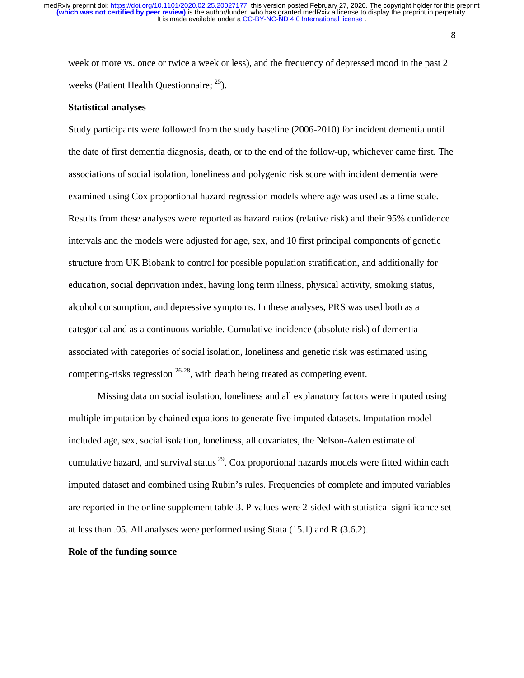$8<sup>1</sup>$ 

week or more vs. once or twice a week or less), and the frequency of depressed mood in the past 2 weeks (Patient Health Questionnaire;  $2^5$ ).

#### **Statistical analyses**

week or more vs. once or twice a week or less), and the frequency of depressed mood in the past 2<br>weeks (Patient Health Questionnaire; <sup>25</sup>).<br>**Statistical analyses**<br>Study participants were followed from the study baseline Study participants were followed from the study baseline (2006-2010) for incident dementia until the date of first dementia diagnosis, death, or to the end of the follow-up, whichever came first. The associations of social isolation, loneliness and polygenic risk score with incident dementia were examined using Cox proportional hazard regression models where age was used as a time scale. Results from these analyses were reported as hazard ratios (relative risk) and their 95% confidence intervals and the models were adjusted for age, sex, and 10 first principal components of genetic structure from UK Biobank to control for possible population stratification, and additionally for education, social deprivation index, having long term illness, physical activity, smoking status, alcohol consumption, and depressive symptoms. In these analyses, PRS was used both as a categorical and as a continuous variable. Cumulative incidence (absolute risk) of dementia associated with categories of social isolation, loneliness and genetic risk was estimated using competing-risks regression 26-28, with death being treated as competing event.

Missing data on social isolation, loneliness and all explanatory factors were imputed using multiple imputation by chained equations to generate five imputed datasets. Imputation model included age, sex, social isolation, loneliness, all covariates, the Nelson-Aalen estimate of cumulative hazard, and survival status  $^{29}$ . Cox proportional hazards models were fitted within each imputed dataset and combined using Rubin's rules. Frequencies of complete and imputed variables are reported in the online supplement table 3. P-values were 2-sided with statistical significance set at less than .05. All analyses were performed using Stata (15.1) and R (3.6.2).

#### **Role of the funding source**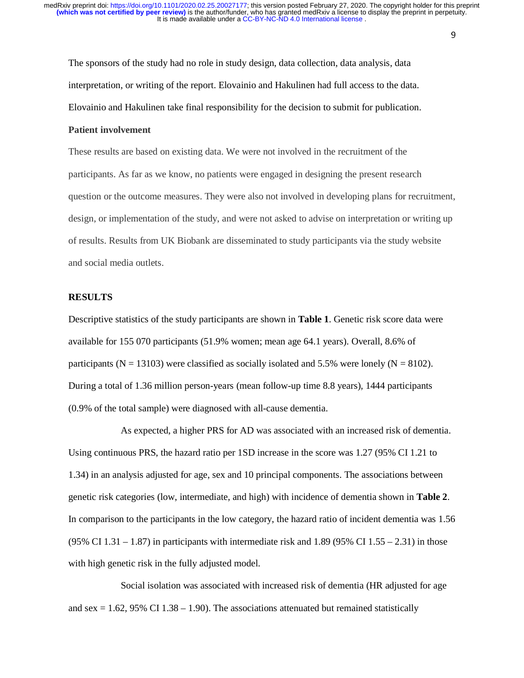9

The sponsors of the study had no role in study design, data collection, data analysis, data interpretation, or writing of the report. Elovainio and Hakulinen had full access to the data. Elovainio and Hakulinen take final responsibility for the decision to submit for publication.

#### **Patient involvement**

The sponsors of the study had no role in study design, data collection, data analysis, data<br>interpretation, or writing of the report. Elovainio and Hakulinen had full access to the data.<br>Elovainio and Hakulinen take final These results are based on existing data. We were not involved in the recruitment of the participants. As far as we know, no patients were engaged in designing the present research question or the outcome measures. They were also not involved in developing plans for recruitment, design, or implementation of the study, and were not asked to advise on interpretation or writing up of results. Results from UK Biobank are disseminated to study participants via the study website and social media outlets.

#### **RESULTS**

Descriptive statistics of the study participants are shown in **Table 1**. Genetic risk score data were available for 155 070 participants (51.9% women; mean age 64.1 years). Overall, 8.6% of participants ( $N = 13103$ ) were classified as socially isolated and 5.5% were lonely ( $N = 8102$ ). During a total of 1.36 million person-years (mean follow-up time 8.8 years), 1444 participants (0.9% of the total sample) were diagnosed with all-cause dementia.

As expected, a higher PRS for AD was associated with an increased risk of dementia. Using continuous PRS, the hazard ratio per 1SD increase in the score was 1.27 (95% CI 1.21 to 1.34) in an analysis adjusted for age, sex and 10 principal components. The associations between genetic risk categories (low, intermediate, and high) with incidence of dementia shown in **Table 2**. In comparison to the participants in the low category, the hazard ratio of incident dementia was 1.56  $(95\% \text{ CI } 1.31 - 1.87)$  in participants with intermediate risk and 1.89 (95% CI 1.55 – 2.31) in those with high genetic risk in the fully adjusted model.

Social isolation was associated with increased risk of dementia (HR adjusted for age and sex  $= 1.62$ , 95% CI 1.38 – 1.90). The associations attenuated but remained statistically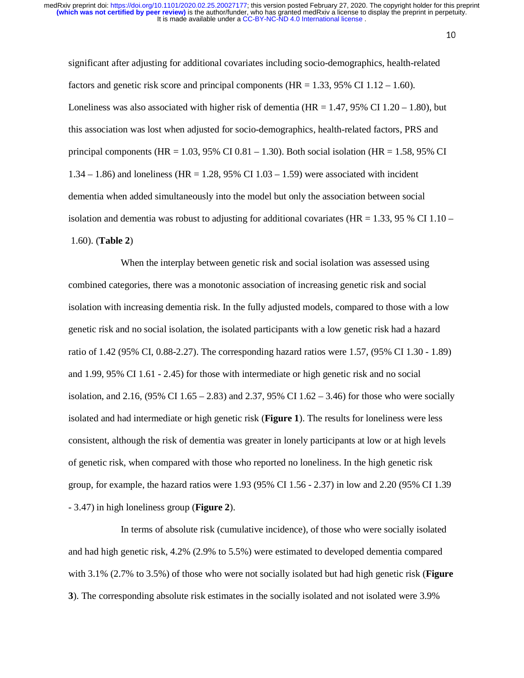10

significant after adjusting for additional covariates including socio-demographics, health-related factors and genetic risk score and principal components (HR = 1.33, 95% CI 1.12 – 1.60). Loneliness was also associated wi significant after adjusting for additional covariates including socio-demographics, health-related factors and genetic risk score and principal components ( $HR = 1.33, 95\%$  CI 1.12 – 1.60). Loneliness was also associated with higher risk of dementia ( $HR = 1.47$ , 95% CI 1.20 – 1.80), but this association was lost when adjusted for socio-demographics, health-related factors, PRS and principal components (HR =  $1.03$ , 95% CI  $0.81 - 1.30$ ). Both social isolation (HR =  $1.58$ , 95% CI  $1.34 - 1.86$ ) and loneliness (HR = 1.28, 95% CI 1.03 – 1.59) were associated with incident dementia when added simultaneously into the model but only the association between social isolation and dementia was robust to adjusting for additional covariates (HR = 1.33, 95 % CI 1.10 – 1.60). (**Table 2**)

When the interplay between genetic risk and social isolation was assessed using combined categories, there was a monotonic association of increasing genetic risk and social isolation with increasing dementia risk. In the fully adjusted models, compared to those with a low genetic risk and no social isolation, the isolated participants with a low genetic risk had a hazard ratio of 1.42 (95% CI, 0.88-2.27). The corresponding hazard ratios were 1.57, (95% CI 1.30 - 1.89) and 1.99, 95% CI 1.61 - 2.45) for those with intermediate or high genetic risk and no social isolation, and 2.16,  $(95\% \text{ CI } 1.65 - 2.83)$  and 2.37,  $95\% \text{ CI } 1.62 - 3.46$ ) for those who were socially isolated and had intermediate or high genetic risk (**Figure 1**). The results for loneliness were less consistent, although the risk of dementia was greater in lonely participants at low or at high levels of genetic risk, when compared with those who reported no loneliness. In the high genetic risk group, for example, the hazard ratios were 1.93 (95% CI 1.56 - 2.37) in low and 2.20 (95% CI 1.39 - 3.47) in high loneliness group (**Figure 2**).

In terms of absolute risk (cumulative incidence), of those who were socially isolated and had high genetic risk, 4.2% (2.9% to 5.5%) were estimated to developed dementia compared with 3.1% (2.7% to 3.5%) of those who were not socially isolated but had high genetic risk (**Figure 3**). The corresponding absolute risk estimates in the socially isolated and not isolated were 3.9%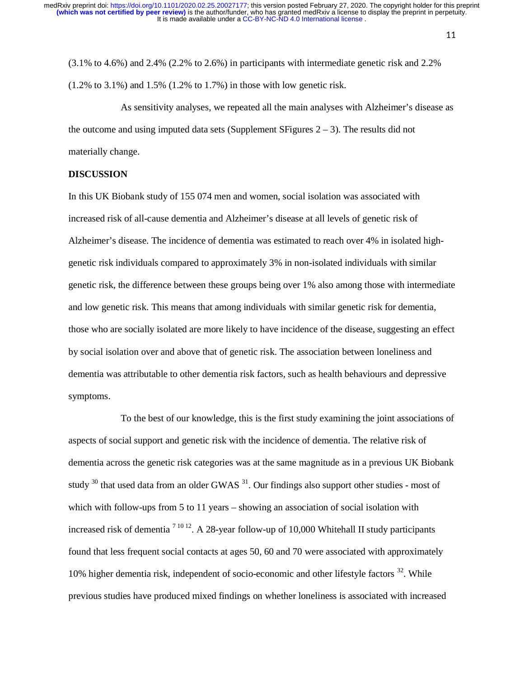11

(3.1% to 4.6%) and 2.4% (2.2% to 2.6%) in participants with intermediate genetic risk and 2.2% (1.2% to 3.1%) and 1.5% (1.2% to 1.7%) in those with low genetic risk.

As sensitivity analyses, we repeated all the main analyses with Alzheimer's disease as the outcome and using imputed data sets (Supplement SFigures  $2 - 3$ ). The results did not materially change.

#### **DISCUSSION**

(3.1% to 4.6%) and 2.4% (2.2% to 2.6%) in participants with intermediate genetic risk and 2.2%<br>
(1.2% to 3.1%) and 1.5% (1.2% to 1.7%) in those with low genetic risk.<br>
As sensitivity analyses, we repeated all the main ana In this UK Biobank study of 155 074 men and women, social isolation was associated with increased risk of all-cause dementia and Alzheimer's disease at all levels of genetic risk of Alzheimer's disease. The incidence of dementia was estimated to reach over 4% in isolated highgenetic risk individuals compared to approximately 3% in non-isolated individuals with similar genetic risk, the difference between these groups being over 1% also among those with intermediate and low genetic risk. This means that among individuals with similar genetic risk for dementia, those who are socially isolated are more likely to have incidence of the disease, suggesting an effect by social isolation over and above that of genetic risk. The association between loneliness and dementia was attributable to other dementia risk factors, such as health behaviours and depressive symptoms.

To the best of our knowledge, this is the first study examining the joint associations of aspects of social support and genetic risk with the incidence of dementia. The relative risk of dementia across the genetic risk categories was at the same magnitude as in a previous UK Biobank study  $30$  that used data from an older GWAS  $31$ . Our findings also support other studies - most of which with follow-ups from 5 to 11 years – showing an association of social isolation with increased risk of dementia  $^{7}$  10 <sup>12</sup>. A 28-year follow-up of 10,000 Whitehall II study participants found that less frequent social contacts at ages 50, 60 and 70 were associated with approximately 10% higher dementia risk, independent of socio-economic and other lifestyle factors  $32$ . While previous studies have produced mixed findings on whether loneliness is associated with increased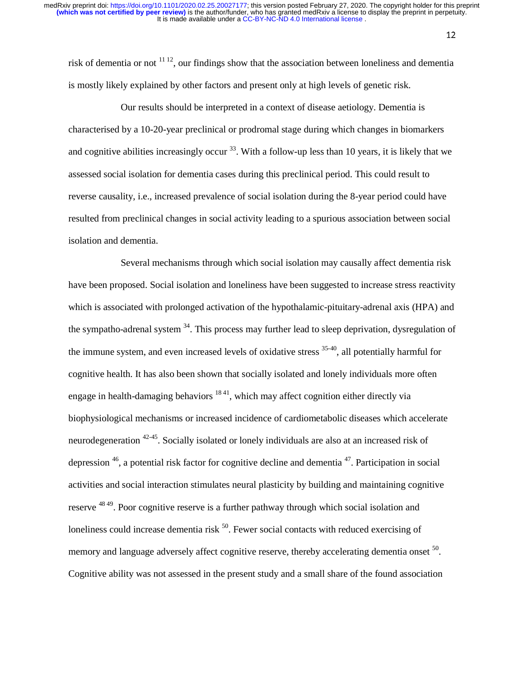$12$ 

risk of dementia or not  $^{11}$  <sup>12</sup>, our findings show that the association between loneliness and dementia is mostly likely explained by other factors and present only at high levels of genetic risk.

risk of dementia or not  $^{1112}$ , our findings show that the association between loneliness and dementia<br>is mostly likely explained by other factors and present only at high levels of genetic risk.<br>Our results should be i Our results should be interpreted in a context of disease aetiology. Dementia is characterised by a 10-20-year preclinical or prodromal stage during which changes in biomarkers and cognitive abilities increasingly occur<sup>33</sup>. With a follow-up less than 10 years, it is likely that we assessed social isolation for dementia cases during this preclinical period. This could result to reverse causality, i.e., increased prevalence of social isolation during the 8-year period could have resulted from preclinical changes in social activity leading to a spurious association between social isolation and dementia.

Several mechanisms through which social isolation may causally affect dementia risk have been proposed. Social isolation and loneliness have been suggested to increase stress reactivity which is associated with prolonged activation of the hypothalamic-pituitary-adrenal axis (HPA) and the sympatho-adrenal system <sup>34</sup>. This process may further lead to sleep deprivation, dysregulation of the immune system, and even increased levels of oxidative stress  $35-40$ , all potentially harmful for cognitive health. It has also been shown that socially isolated and lonely individuals more often engage in health-damaging behaviors  $1841$ , which may affect cognition either directly via biophysiological mechanisms or increased incidence of cardiometabolic diseases which accelerate neurodegeneration <sup>42-45</sup>. Socially isolated or lonely individuals are also at an increased risk of depression  $^{46}$ , a potential risk factor for cognitive decline and dementia  $^{47}$ . Participation in social activities and social interaction stimulates neural plasticity by building and maintaining cognitive reserve <sup>4849</sup>. Poor cognitive reserve is a further pathway through which social isolation and loneliness could increase dementia risk  $^{50}$ . Fewer social contacts with reduced exercising of memory and language adversely affect cognitive reserve, thereby accelerating dementia onset <sup>50</sup>. Cognitive ability was not assessed in the present study and a small share of the found association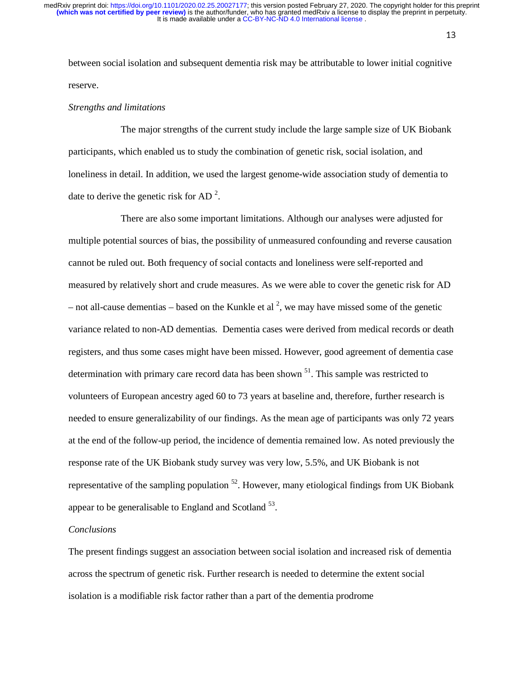$13$ 

between social isolation and subsequent dementia risk may be attributable to lower initial cognitive reserve.

#### *Strengths and limitations*

between social isolation and subsequent dementia risk may be attributable to lower initial cognitive<br>reserve.<br>Strengths and limitations<br>The major strengths of the current study include the large sample size of UK Biobank<br>p The major strengths of the current study include the large sample size of UK Biobank participants, which enabled us to study the combination of genetic risk, social isolation, and loneliness in detail. In addition, we used the largest genome-wide association study of dementia to date to derive the genetic risk for AD<sup>2</sup>.

 $\begin{bmatrix} a \\ b \end{bmatrix}$  as  $\begin{bmatrix} a \\ d \end{bmatrix}$  as  $\begin{bmatrix} a \\ b \end{bmatrix}$ There are also some important limitations. Although our analyses were adjusted for multiple potential sources of bias, the possibility of unmeasured confounding and reverse causation cannot be ruled out. Both frequency of social contacts and loneliness were self-reported and measured by relatively short and crude measures. As we were able to cover the genetic risk for AD – not all-cause dementias – based on the Kunkle et al  $^2$ , we may have missed some of the genetic variance related to non-AD dementias. Dementia cases were derived from medical records or death registers, and thus some cases might have been missed. However, good agreement of dementia case determination with primary care record data has been shown  $5<sup>1</sup>$ . This sample was restricted to volunteers of European ancestry aged 60 to 73 years at baseline and, therefore, further research is needed to ensure generalizability of our findings. As the mean age of participants was only 72 years at the end of the follow-up period, the incidence of dementia remained low. As noted previously the response rate of the UK Biobank study survey was very low, 5.5%, and UK Biobank is not representative of the sampling population  $52$ . However, many etiological findings from UK Biobank appear to be generalisable to England and Scotland  $53$ .

#### *Conclusions*

The present findings suggest an association between social isolation and increased risk of dementia across the spectrum of genetic risk. Further research is needed to determine the extent social isolation is a modifiable risk factor rather than a part of the dementia prodrome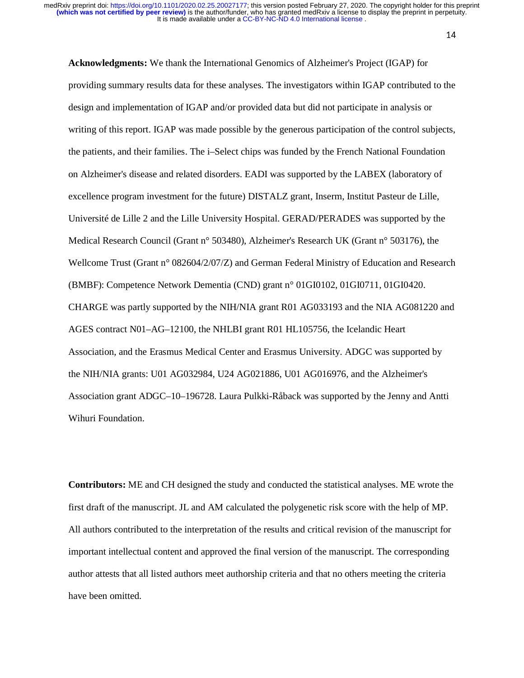14

Acknowledgments: We thank the International Genomics of Alzheimer's Project (IGAP) for<br>providing summary results data for these analyses. The investigators within IGAP contributed to the<br>design and implementation of IGAP **Acknowledgments:** We thank the International Genomics of Alzheimer's Project (IGAP) for providing summary results data for these analyses. The investigators within IGAP contributed to the design and implementation of IGAP and/or provided data but did not participate in analysis or writing of this report. IGAP was made possible by the generous participation of the control subjects, the patients, and their families. The i–Select chips was funded by the French National Foundation on Alzheimer's disease and related disorders. EADI was supported by the LABEX (laboratory of excellence program investment for the future) DISTALZ grant, Inserm, Institut Pasteur de Lille, Université de Lille 2 and the Lille University Hospital. GERAD/PERADES was supported by the Medical Research Council (Grant n° 503480), Alzheimer's Research UK (Grant n° 503176), the Wellcome Trust (Grant n° 082604/2/07/Z) and German Federal Ministry of Education and Research (BMBF): Competence Network Dementia (CND) grant n° 01GI0102, 01GI0711, 01GI0420. CHARGE was partly supported by the NIH/NIA grant R01 AG033193 and the NIA AG081220 and AGES contract N01–AG–12100, the NHLBI grant R01 HL105756, the Icelandic Heart Association, and the Erasmus Medical Center and Erasmus University. ADGC was supported by the NIH/NIA grants: U01 AG032984, U24 AG021886, U01 AG016976, and the Alzheimer's Association grant ADGC–10–196728. Laura Pulkki-Råback was supported by the Jenny and Antti Wihuri Foundation.

**Contributors:** ME and CH designed the study and conducted the statistical analyses. ME wrote the first draft of the manuscript. JL and AM calculated the polygenetic risk score with the help of MP. All authors contributed to the interpretation of the results and critical revision of the manuscript for important intellectual content and approved the final version of the manuscript. The corresponding author attests that all listed authors meet authorship criteria and that no others meeting the criteria have been omitted.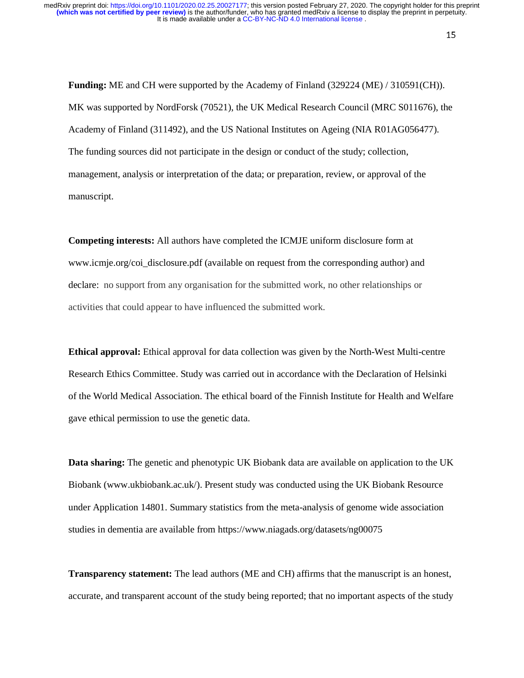15

**Funding:** ME and CH were supported by the Academy of Finland (329224 (ME) / 310591(CH)).<br>MK was supported by NordForsk (70521), the UK Medical Research Council (MRC S011676), the<br>Academy of Finland (311492), and the US Na **Funding:** ME and CH were supported by the Academy of Finland (329224 (ME) / 310591(CH)). MK was supported by NordForsk (70521), the UK Medical Research Council (MRC S011676), the Academy of Finland (311492), and the US National Institutes on Ageing (NIA R01AG056477). The funding sources did not participate in the design or conduct of the study; collection, management, analysis or interpretation of the data; or preparation, review, or approval of the manuscript.

**Competing interests:** All authors have completed the ICMJE uniform disclosure form at www.icmje.org/coi\_disclosure.pdf (available on request from the corresponding author) and declare: no support from any organisation for the submitted work, no other relationships or activities that could appear to have influenced the submitted work.

**Ethical approval:** Ethical approval for data collection was given by the North-West Multi-centre Research Ethics Committee. Study was carried out in accordance with the Declaration of Helsinki of the World Medical Association. The ethical board of the Finnish Institute for Health and Welfare gave ethical permission to use the genetic data.

**Data sharing:** The genetic and phenotypic UK Biobank data are available on application to the UK Biobank (www.ukbiobank.ac.uk/). Present study was conducted using the UK Biobank Resource under Application 14801. Summary statistics from the meta-analysis of genome wide association studies in dementia are available from https://www.niagads.org/datasets/ng00075

**Transparency statement:** The lead authors (ME and CH) affirms that the manuscript is an honest, accurate, and transparent account of the study being reported; that no important aspects of the study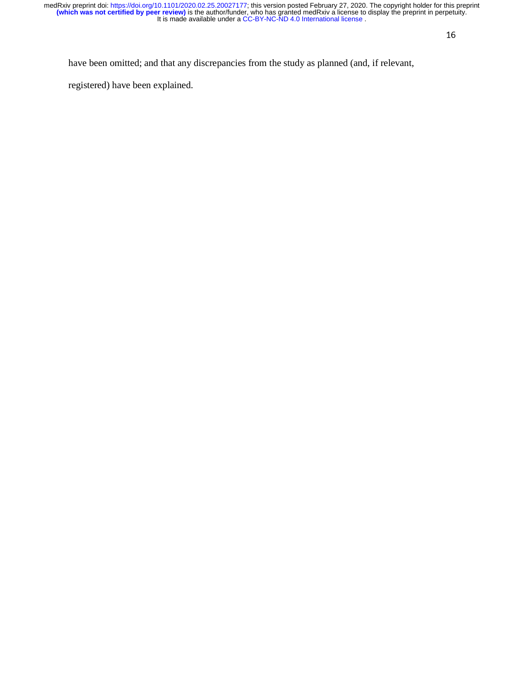16 have been omitted; and that any discrepancies from the study as planned (and, if relevant,

registered) have been explained.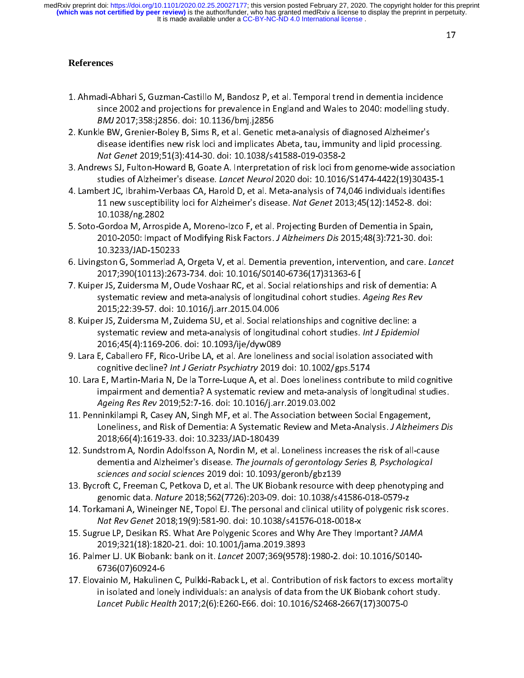## **References**

- **References**<br>
1. Ahmadi-Abhari S, Guzman-Castillo M, Bandosz P, et al. Temporal trend in dementia incidence<br>
since 2002 and projections for prevalence in England and Wales to 2040: modelling study.<br> *BMJ* 2017;358;j2856. d
- since 2002 and projections for prevalence in England and Wales to 2040; modelling study<br> *BMJ* 2017;358:j2856. doi: 10.1136/bmj.j2856<br>
2. Kunkle BW, Grenier-Boley B, Sims R, et al. Genetic meta-analysis of diagnosed Alzhei BMJ 2017;358:12856. doi: 10.1136/bmj.j2856<br>
le BW, Grenier-Boley B, Sims R, et al. Genetic meta-analysis of diagnosed Alzheimer's<br>
disease identifies new risk loci and implicates Abeta, tau, immunity and lipid processing.<br>
- 
- 
- BMJ 2017,358:j2856. doi: 10.11367 Bmj.j2858<br>le BW, Grenier-Boley B, Sims R, et al. Genetic<br>disease identifies new risk loci and implicates<br>Nat Genet 2019;51(3):414-30. doi: 10.1038/s4<br>ews SJ, Fulton-Howard B, Goate A. Inte 2. Kunkle BW, Grenier-Boley B, Sims R, et al. Genetic meta-analysis of diagnosed Alzheimer's<br>
disease identifies new risk loci and implicates Abeta, tau, immunity and lipid processis<br> *Md Genet* 2019;51(3):414-30. doi: 10 Wat Genet 2019;51(3):414-30. doi: 10.1038/s41500-013-0330-2<br>ews SJ, Fulton-Howard B, Goate A. Interpretation of risk loci from<br>studies of Alzheimer's disease. Lancet Neurol 2020 doi: 10.1036,<br>eret J.C, Ibrahim-Verbaas CA,
- 
- *Nat Genet 2019;51(3):414-30. doi:10.1038/s41588-019-0358-2*<br>
Wat Genet 2019;51(3):414-30. doi:10.1038/s41588-019-0358-2<br>
ews SJ, Fulton-Howard B, Goate A. Interpretation of risk loci from genome-wide associatistudies of A studies of Alzheimer's disease. *Lancet Neurol* 2020 doi: 10.1016/S1474-4422(19)30435-1<br>
4. Lambert JC, Ibrahim-Verbaas CA, Harold D, et al. Meta-analysis of 74,046 individuals identifies<br>
10.1038/ng.2802<br>
5. Soto-Gordoa M studies of Alzheimer's disease. *Lancet Neurol* 2020 doi: 10.1016/51474-4422(19)30435-1<br>
2011 film -Verbaas CA, Harold D, et al. Meta-analysis of 74,046 individuals identifies<br>
11 new susceptibility loci for Alzheimer's di
- 
- 
- 11 new susceptibility loci for Alzheimer's disease. Not Genet 2013;45(12):1452-8. doi:<br>
10.1038/ng.2802<br>
5. Soto-Gordoa M, Arrospide A, Moreno-Izco F, et al. Projecting Burden of Dementia in Spain,<br>
2010-2050: Impact of M 11 new susceptibility loci for Alzheimer's disease. *Nat Genet* 2013;45(12):1452-8. doi:<br>10.1038/ng.2802<br>Gordoa M, Arrospide A, Moreno-Izco F, et al. Projecting Burden of Dementia in Spain,<br>2010-2050: Impact of Modifying Cordoa M, Arrosp<br>2010-2050: Impac<br>2010-2050: Impac<br>10.3233/JAD-150:<br>gston G, Sommerl<br>2017;390(10113):<br>Pr JS, Zuidersma M<br>systematic review<br>2015;22:39-57. der JS, Zuidersma N<br>Pr JS, Zuidersma M<br>2016;45(4):1169-;<br>E, Caballer 2010-2050: Impact of Modifying Risk Factors. *J Alzheimers Dis* 2015;48(3):721-30. doi:<br>
10.3233/JAD-150233<br>
6. Livingston G, Sommerlad A, Orgeta V, et al. Dementia prevention, intervention, and care. *Lc*<br>
2017;390(10113 2017-2005. Impact of Modifying Risk Factors. J Alzheimers Dis 2011,40(0).711-00. doi:<br>2017;390(10113):2673-734. doi: 10.1016/S0140-6736(17)31363-6 [<br>2017;390(10113):2673-734. doi: 10.1016/S0140-6736(17)31363-6 [<br>2017;390(1 Example 11.1223.1239<br>gston G, Sommerlad A<br>2017;390(10113):267<br>er JS, Zuidersma M, Or<br>systematic review and<br>2015;22:39-57. doi: 1<br>er JS, Zuidersma M, Zu<br>systematic review and<br>2016;45(4):1169-206.<br>E, Caballero FF, Rico-L<br>cog 6. Livingston G, Sommerlad A, Sommerlad A, G, Sommerlad A, G, Sommerlad A, G, Sommerlad A, Sommerlad A, Sommerlad A, Sommerlad C, Migrer JS, Zuidersma M, Oude Voshaar RC, et al. Social relationships and risk of dementia: er JS, Zuidersma M, Oude Voshaar RC, et al. Social relationships and<br>systematic review and meta-analysis of longitudinal cohort studies.<br>2015;22:39-57. doi: 10.1016/j.arr.2015.04.006<br>r JS, Zuidersma M, Zuidema SU, et al. restremation review and meta-analysis of longitudinal cohort studies. Ageing Res Rev<br>
2015;22:39-57. doi: 10.1016/j.arr.2015.04.006<br>
8. Kuiper JS, Zuidersma M, Zuidems SU, et al. Social relationships and cognitive decline systematic review and meta-analysis of longitudinal contributes. Ageing these are also also 2015;22:39-57. doi: 10.1016/j.arr.2015.04.006<br>ar JS, Zuidersma M, Zuidema SU, et al. Social relationships and cognitive decline: a er JS, Zuidersma M, Zuidema SU, et al. Social relaystematic review and meta-analysis of longitu<br>2016;45(4):1169-206. doi: 10.1093/jie/dyw089<br>E, Caballero FF, Rico-Uribe LA, et al. Are lonelin<br>cognitive decline? *Int J Ger* systematic review and meta-analysis of longitudinal cohort studies. Int J Epidemiol<br>
2016;45(4):1169-206. doi: 10.1093/je/dyw089<br>
9. Lara E, Caballero FF, Rico-Uribe LA, et al. Are loneliness and social isolation associate systemath review and meta-analysis of longitudinal conditional conditions associated weights E, Caballero FF, Rico-Uribe LA, et al. Are loneliness and social isolation associated weightive decline? Int J Geriatr Psychiatry E, Caballero FF, Rico-Uribe LA, et al. Are loneline<br>cognitive decline? *Int J Geriatr Psychiatry* 2019 a<br>1 E, Martin-Maria N, De la Torre-Luque A, et al. I<br>impairment and dementia? A systematic review<br>Ageing Res Rev 2019;5 or the state of the state of the state of the Pistonical individual interaction of the Palement and demettiar  $P$ , are loneliness contribute to mild cogning meant and demettiar  $P$  are loneliness and social interaction and cognitive decline: *i.m. 2 Serifor 1 sychmatry 2013* our. 10.1002/gps.1014<br>i.e. J. Martin-Maria N, De la Torre-Luque A, et al. Does loneliness contrib<br>impairment and dementia? A systematic review and meta-analysis of l<br>*Ag*
- impairment and dementia? A systematic review and meta-analysis of longitudinal studies.<br>
Ageing Res Rev 2019;52:7-16. doi: 10.1016/j.arr.2019.03.002<br>
11. Penninkilampi R, Casey AN, Singh MF, et al. The Association between Ageing Res Rev 2019;52:7-16. doi: 10.1016/j.arr.2019.03.002<br>
ninkilampi R, Casey AN, Singh MF, et al. The Association between Social Engagement,<br>
Loneliness, and Risk of Dementia: A Systematic Review and Meta-Analysis. J A Agemy Res Rev 2019,32:7-10: doi: 10.10107/j.an:2013.03.002<br>ninkilampi R, Casey AN, Singh MF, et al. The Association betw<br>Loneliness, and Risk of Dementia: A Systematic Review and M<br>2018;66(4):1619-33. doi: 10.3233/JAD-1804
- Loneliness, and Risk of Dementia: A Systematic Review and Meta-Analysis. J Alzheimer<br>
2018;66(4):1619-33. doi: 10.3233/JAD-180439<br>
12. Sundstrom A, Nordin Adolfsson A, Nordin M, et al. Loneliness increases the risk of alldstrom A, Nordin Adolfsson A, Nordin M, et al.<br>dementia and Alzheimer's disease. *The journals*<br>*sciences and social sciences* 2019 doi: 10.1093/<br>roft C, Freeman C, Petkova D, et al. The UK Biot<br>genomic data. *Nature* 2018
- 
- 
- 
- 
- Externals and National And Risk of all contents in A Systematic Review and Meta-Analysis. J Alzheimers Distance and Social Sciences A, Nordin M, et al. Loneliness increases the risk of all-cause dementia and Alzheimer's di dementia and Alzheimer's disease. *The journals of gerontology Series B, Psychological*<br>sciences and social sciences 2019 doi: 10.1093/geronb/gbz139<br>13. Bycroft C, Freeman C, Petkova D, et al. The UK Biobank resource with dementia and Alzheimer's disease. The journals of gerontology Series B, Psychological<br>sciences and social sciences 2019 doi: 10.1093/geronb/gbz139<br>roft C, Freeman C, Petkova D, et al. The UK Biobank resource with deep phen sciences and social sciences 2019 doi: 10.1093/geronb/gbz159<br>roft C, Freeman C, Petkova D, et al. The UK Biobank resource w<br>genomic data. Narure 2018;562(7726):203-09. doi: 10.1038/s4<br>kamani A, Wineinger NE, Topol EJ. The 14. Torkamani A, Wineinger NE, Topol EJ. The personal and clinical utility of polygenic risk scores<br>
14. Torkamani A, Wineinger NE, Topol EJ. The personal and clinical utility of polygenic risk scores<br>
14. Bycroft Charact genomic data. wider 2018;1726;1726;1726-07.203-00.<br>Kamani A, Wineinger NE, Topol EJ. The personal and clinical utility of polygenic ristor of the personal and clinical utility of polygenic ristor<br>Nat Rev Genet 2018;19(9):5 Not Rev Genet 2018;19(9):581-90. doi: 10.1038/s41576-018-0018-x<br>
15. Sugrue LP, Desikan RS. What Are Polygenic Scores and Why Are They Important? JAMA<br>
2019;321(18):1820-21. doi: 10.1001/jama.2019.3893<br>
16. Palmer LJ. UK B Nat Rev Genet 2018,19(9):301-30. doi: 10.1038/s41576-018-0018-x<br>Tue LP, Desikan RS. What Are Polygenic Scores and Why Are They Im<br>2019;321(18):1820-21. doi: 10.1001/jama.2019.3893<br>ner LJ. UK Biobank: bank on it. *Lancet* 2 15. Sugram RS. What Are Polygenic Scores and Why Are They Important: JAMA<br>2019;321(18):1820-21. doi: 10.1001/jama.2019.3893<br>16. Palmer LJ. UK Biobank: bank on it. *Lancet* 2007;369(9578):1980-2. doi: 10.1016/S0140-<br>6736(07 mer LJ. UK Biobank: bank on it. *Lancet* 2007;369(9578)<br>6736(07)60924-6<br>rainio M, Hakulinen C, Pulkki-Raback L, et al. Contribut<br>in isolated and lonely individuals: an analysis of data f<br>*Lancet Public Health* 2017;2(6):E2 16. Palmer LJ. OK Biobank: bank on it. Lancet 2007;369(9576).1980-2. doi: 10.1016/50140-6736(07)60924-6<br>6736(07)60924-6<br>17. Elovainio M, Hakulinen C, Pulkki-Raback L, et al. Contribution of risk factors to excess m<br>in isol rainio M, Hakuline<br>in isolated and lor<br>L*ancet Public Hea*<br>Cancet *Public Hea* 11. Electronic M, Hahrmann 2, Pulkid-Males: an analysis of data from the UK Biobank cohort study.<br>
Lancet Public Health 2017;2(6):E260-E66. doi: 10.1016/S2468-2667(17)30075-0<br>
Lancet Public Health 2017;2(6):E260-E66. doi: in isolated and lonely individuals: an analysis of data from the UK Biobank cohort study. Lancet Public Health 2017;2(6):E260-E66. doi: 10.1016/S2468-2667(17)30075-0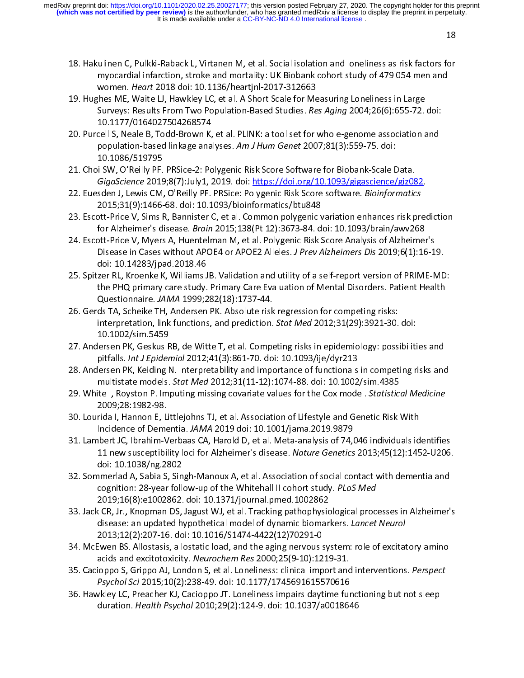- 18. Hakulinen C, Pulkki-Raback L, Virtanen M, et al. Social isolation and loneliness as risk factors for<br>myocardial infarction, stroke and mortality: UK Biobank cohort study of 479 054 men and<br>women. *Heart 2018* doi: 10.
- 
- 
- 
- 
- 
- myocardial infarction, stroke and mortality: UK Biobank cohort study of 479 054 men and<br>
19. Hughes ME, Waite LJ, Hawkley LC, et al. A Short Scale for Measuring Loneliness in Large<br>
Surveys: Results From Two Population-Bas women. *Heart* 2018 doi: 10.1136/heartjni-2017-312663<br>thes ME, Waite LJ, Hawkley LC, et al. A Short Scale for Measuring Loneliness in Large<br>Surveys: Results From Two Population-Based Studies. *Res Aging* 2004;26(6):655-72. women. Heart 2010 dof. 10.1130/heart<sub>j</sub>m-2017-512003<br>fhes ME, Waite LJ, Hawkley LC, et al. A Short Scale for Me<br>Surveys: Results From Two Population-Based Studies. *Re*<br>10.1177/0164027504268574<br>cell S, Neale B, Todd-Brown Surveys: Results From Two Population-Based Studies. Res Aging 2004;26(6):655-72.<br>
10.1177/0164027504268574<br>
20. Purcell S, Neale B, Todd-Brown K, et al. PLINK: a tool set for whole-genome association a<br>
population-based li Surveys: Results Trom Two Translation-Based Studies. Res Aging 2004,2000-555-72. doi:<br>10.1177/01640275504268574<br>cell S, Neale B, Todd-Brown K, et al. PLINK: a tool set for whole-genome association and<br>population-based link cell S, Neale B, Todd-Brown K,<br>population-based linkage ana<br>10.1086/519795<br>i SW, O'Reilly PF. PRSice-2: Pc<br>*GigaScience* 2019;8(7):July1, *i*<br>sden J, Lewis CM, O'Reilly PF.<br>2015;31(9):1466-68. doi: 10.1<br>ott-Price V, Sims R pulation-based linkage analyses. *Am J Hum Genet* 2007;81(3):559-75. doi:<br>
10.1086/519795<br>
21. Choi S/Reily PF. PRSice-2: Polygenic Risk Score Software for Biobank-Scale Data.<br>
20. GigaScience 2019;8(7):July1, 2019. doi: <u></u> population-based linkage analyses. Am J Hum Genet 2007;01(3):359-75. doi:<br>10.1086/519795<br>i SW, O'Reilly PF. PRSice-2: Polygenic Risk Score Software for Biobank-Scale LGigaScience 2019;8(7):July1, 2019. doi: <u>https://doi.or</u> 1 SW, O'Reilly PF.<br>
1 SW, O'Reilly PF.<br> *GigaScience* 2015<br>
sden J, Lewis CM,<br>
2015;31(9):1466-<br>
2015;31(9):1466-<br>
ott-Price V, Sims F<br>
for Alzheimer's d<br>
ott-Price V, Myers<br>
Disease in Cases<br>
doi: 10.14283/jpa<br>
zer RL, Kr GigaScience 2019;8(7):July1, 2019. doi: https://doi.org/10.1093/gigascience/giz02<br>
22. Euesden J, Lewis CM, O'Reilly PF. PRSice: Polygenic Risk Score software. *Bioinformatic*<br>
2015;31(9):1466-68. doi: 10.1093/bioinformat Gyovence 2019;(1, July1, 2019;(1, July1, 2019;(1, July1, 2019)<br>Sden J, Lewis CM, O'Reilly PF. PRSice: Polygenic Risk Score software. *Bioinformatics*<br>2015;31(9):1466-68. doi: 10.1093/bioinformatics/btu848<br>str-Price V, Sims 22. Euesden J, Lewis CM, O'Reilly PF. PRSice: Polygenic Risk Score software. *Bioinformatics*<br>
20.5:31 (9):1466-68. doi: 10.1093/brinnformatics/btu848<br>
23. Escott-Price V, Sims R, Bannister C, et al. Common polygenic vari btt-Price V, Sims R, Bannister C, et al. Common polygenic v<br>for Alzheimer's disease. *Brain* 2015;138(Pt 12):3673-84. d<br>ott-Price V, Myers A, Huentelman M, et al. Polygenic Risk !<br>Disease in Cases without APOE4 or APOE2 Al for Alzheimer's disease. *Brain* 2015;138(Pt 12):3673-84. doi: 10.1093/brain/awv268<br>ott-Price V, Myers A, Huentelman M, et al. Polygenic Risk Score Analysis of Alzheimer<br>Disease in Cases without APOE4 or APOE2 Alleles. *J*
- for Alzheimer's disease. *Brain* 2015;138(Pt 12):3673-84. doi: 10.1093/brain/awv268<br>
24. Escott-Price V, Myers A, Huentelman M, et al. Polygenic Risk Score Analysis of Alzheimer's<br>
Disease in Cases without APOE4 or APOE2 A 24. Escott-Price V, Myers A, Huentelman M, et al. Polygenic Risk Score Analysis of Alzheimer's<br>
Disease in Caese whole to APOE2 Alleles. *J Prev Alzheimers Dis* 2019;6(1):16-1<br>
26. Spitzer RL, Kroenke K, Williams JB. Vali
- 
- 
- 
- 
- 
- Disease in Cases without APOE2 Alleles. *The Valzhemers Dis 2019*;(1):10-12.<br>
doi: 10.14283/jpad.2018.46<br>
Zer RL, Kroenke K, Williams JB. Validation and utility of a self-report version of PRIME-MD<br>
the PHQ primary care st Ear RL, Kroenke K, Williams J<br>zer RL, Kroenke K, Williams J<br>the PHQ primary care study.<br>Questionnaire. JAMA 1999;2<br>ds TA, Scheike TH, Andersen<br>interpretation, link functions<br>10.1002/sim.5459<br>ersen PK, Geskus RB, de Wit<br>pit the PHQ primary care study. Primary Care Evaluation of Mental Disorders. Patient Health<br>
Questionnaire. JAMA 1999;282(18):1737-44.<br>
26. Gersi TA, Scheike TH, Andersen PK. Absolute risk regression for competing risks:<br>
inte Questionnaire. JAMA 1999;282(18):1737-44.<br>
ds TA, Scheike TH, Andersen PK. Absolute risk regression for competing risks:<br>
interpretation, link functions, and prediction. *Stat Med* 2012;31(29):3921-30. doi:<br>
10.1002/sim.54 Questionnaire. JAMA 1999,202(10,1197-44.<br>ds TA, Scheike TH, Andersen PK. Absolute risk<br>interpretation, link functions, and prediction.<br>10.1002/sim.5459<br>ersen PK, Geskus RB, de Witte T, et al. Compe<br>pitfalls. *Int J Epidemi* interpretation, link functions, and prediction. *Stat Med* 2012;31(29):3921-30.<br>
27. Andersen PK, Geskus RB, de Witte T, et al. Competing risks in epidemiology: possignifialls. *Int J Epidemiol* 2012;41(3):861-70. doi: 10. interpretation, min kind functions, and prediction. Stat Med 2012;31(29):3921-90. doi:<br>10.1002/sim.5459<br>ersen PK, Geskus RB, de Witte T, et al. Competing risks in epidemiology: possibiliti<br>pitfalls. *Int J Epidemiol* 2012; ersen PK, Geskus R<br>ersen PK, Geskus R<br>pitfalls. *Int J Epider*<br>ersen PK, Keiding P<br>multistate models.<br>ite I, Royston P. Im<br>2009;28:1982-98.<br>rida I, Hannon E, Li<br>Incidence of Deme<br>bert JC, Ibrahim-V<br>11 new susceptibili<br>doi: pitfalls. Int J Epidemiol 2012;41(3):861-70. doi: 10.1093/jie/dyr213<br>
28. Andersen PK, Keiding N. Interpretability and importance of functionals in competing risks and<br>
multistate models. Stat Med 2012;31(11-12):1074-88. d pitals. *Into Ephemin 2012*, 41(1), 2001-70. doi: 10.110.110.110.121/<sub>1</sub>/1001<br>ersen PK, Keiding N. Interpretability and inportance of functionals<br>multistate models. *Stat Med* 2012;31(11-12):1074-88. doi: 10.1002<br>ite I, Ro multistate models. *Stot Med* 2012;31(11-12):1074-88. doi: 10.1002/sim.4385<br>
29. White I, Royston P. Imputing missing covariate values for the Cox model. *Statistical Medicine*<br>
2009;28:1982-98.<br>
30. Lourida I, Hannon E, L multistate models. Jata Med 2012; Jata Med 2012; Jata Med 2012; Jata Med 2009; 28:1982-98.<br>It is posted in the Cox model. Statistic model is a complete model in the Cox model is tractistic model is the<br>Incidence of Dementi 29. Which I, Hotselm I, Mystom I, The I, Roysen I, The I, Roysen I, The Incidence of Dementia. JAMA 2019 doi: 10.1001/jama.2019.87987<br>
30. Lourida I, Hannon E, Littlejohns TJ, et al. Association of Lifestyle and Genetic Ri rida I, Hannon E, L<br>Incidence of Deme<br>bert JC, Ibrahim-V<br>11 new susceptibil<br>doi: 10.1038/ng.28<br>nmerlad A, Sabia S,<br>cognition: 28-year<br>2019;16(8):e10028<br>c CR, Jr., Knopman<br>disease: an update<br>2013;12(2):207-16<br>Ewen BS. Allos Incidence of Dementia. JAMA 2019 doi: 10.1001/jama.2019.9879<br>
31. Lambert JC, Ibrahim-Verbaas CA, Harold D, et al. Meta-analysis of 74,046 individuals id<br>
11 new susceptibility loci for Alzheimer's disease. *Nature Genetic* Incidence of Dementia. JAMA 2019 doi: 10.1001/jama.201901<br>
Incidence of Dementia. JAMA 2019 doi: 10.101/jama.2019501<br>
11 new susceptibility loci for Alzheimer's disease. *Nature Genetics*<br>
11 new susceptibility loci for Al
- 
- 11 new susceptibility loci for Alzheimer's disease. Nature Genetics 2013;45(12):1452-U206.<br>
32. Sommerlad A, Sabia S, Singh-Manoux A, et al. Association of social contact with dementia and<br>
cognition: 28-year follow-up of 11 new susceptibility loci for Alzheimer's disease. *Nature Genetics* 2013;45(12):1452-U206.<br>doi: 10.1038/ng.2802<br>merlad A, Sabia S, Singh-Manoux A, et al. Association of social contact with dementia and<br>cognition: 28-year nmerlad A, Sabia S, Sin<br>cognition: 28-year foll<br>2019;16(8):e1002862.<br>CR, Jr., Knopman DS,<br>disease: an updated h<br>2013;12(2):207-16. do<br>Ewen BS. Allostasis, all<br>acids and excitotoxicit<br>ioppo S, Grippo AJ, Lor<br>Psychol Sci 201 cognition: 28-year follow-up of the Whitehall II cohort study. *PLoS Med*<br>
2019;16(8):e1002862. doi: 10.1371/journal.pmed.1002862<br>
33. Jack CR, Jr., Knopman DS, Jagust WJ, et al. Tracking pathophysiological processes in Al cognition: 26-year follow-up of the Winterlam contractors and 2002862<br>2019;16(8):e1002862. doi: 10.1371/journal.pmed.1002862<br>c CR, Jr., Knopman DS, Jagust WJ, et al. Tracking pathophysiological proc<br>disease: an updated hyp c CR, Jr., Knopman DS, Jagust WJ, et al. Tracking pathophysic<br>disease: an updated hypothetical model of dynamic biomar<br>2013;12(2):207-16. doi: 10.1016/S1474-4422(12)70291-0<br>Ewen BS. Allostasis, allostatic load, and the agi 33. Jack CR, Jr., Knopman DS, Jagust WJ, et al. Tracking pathophysiological processes in Alzheimer's<br>disease: an updated hypothetical model of dynamic biomarkers. *Lancet Neurol*<br>2013;12(2):207-16. doi: 10.1016/51474-4422
- disease: an updated hypothetical model of dynamic biomarkers. Lancet Neurol 2013;12(2):207-16. doi: 10.1016/S1474-4422(12)70291-0<br>Even BS. Allostasis, allostatic load, and the aging nervous system: role of excitat<br>acids an Ewen BS. Allostasis, allostatic load, and the aging nervous s<br>acids and excitotoxicity. Neurochem Res 2000;25(9-10):12<br>ioppo S, Grippo AJ, London S, et al. Loneliness: clinical imp<br>Psychol Sci 2015;10(2):238-49. doi: 10.11
- acids and excitotoxicity. *Neurochem Res* 2000;25(9-10):1219-31.<br>35. Cacioppo S, Grippo AJ, London S, et al. Loneliness: clinical import and interventions. *Perspect*<br>*Psychol Sci* 2015;10(2):238-49. doi: 10.1177/174569161 acids and excitotoxicity. Neurochem Nes 2000,25(5-10).1215-51.<br>ioppo S, Grippo AJ, London S, et al. Loneliness: clinical import and<br>Psychol Sci 2015;10(2):238-49. doi: 10.1177/1745691615570616<br>vkley LC, Preacher KJ, Caciop
- 35. Cacioppo 3, Grippo AJ, Edition 3, et al. London S, et al. London S, clinical import and interventions. Perspect<br>Psychol Sci 2015;10(2):238-49. doi: 10.1177/1745691615570616<br>36. Hawkley LC, Preacher KJ, Cacioppo JT. Lon Psychol Scr 2015;10(2):238-45. doi: 10.111771745691615570616<br>Vkley LC, Preacher KJ, Cacioppo JT. Loneliness impairs daytime fur<br>duration. *Health Psychol* 2010;29(2):124-9. doi: 10.1037/a001864<br>Alternation.  $36. H$ awkieg Le, President Ki, Premppe Jesus impairs daytime functioning but not position. Health Psychol 2010;29(2):124-9. doi: 10.1037/a0018646 duration. Health Psychol 2010;29(2):124-9. doi: 10.1037/a0018646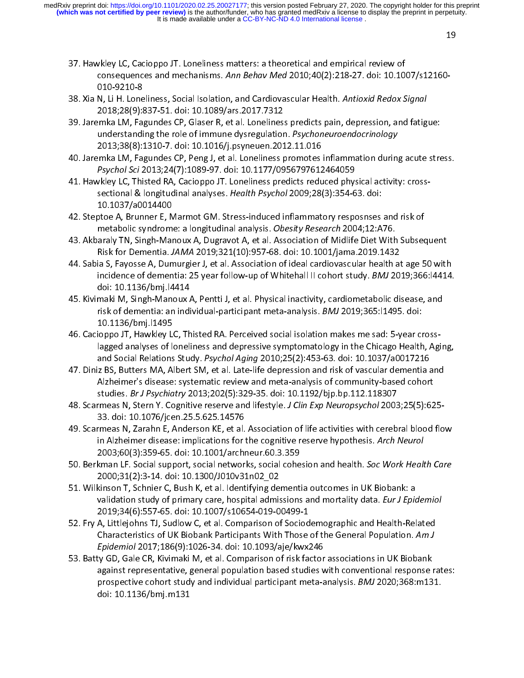It is made available under a [CC-BY-NC-ND 4.0 International license](http://creativecommons.org/licenses/by-nc-nd/4.0/) . **(which was not certified by peer review)** is the author/funder, who has granted medRxiv a license to display the preprint in perpetuity. medRxiv preprint doi: [https://doi.org/10.1101/2020.02.25.20027177;](https://doi.org/10.1101/2020.02.25.20027177) this version posted February 27, 2020. The copyright holder for this preprint

- 37. Hawkley LC, Cacioppo JT. Loneliness matters: a theoretical and empirical review of<br>
consequences and mechanisms. Ann Behav Med 2010;40(2):218-27. doi: 10.1007/s12160-<br>
010-9210-8<br>
38. Xia H. Loneliness, Social Isolati
- 
- 
- 
- consequences and mechanisms. Ann Behav Med 2010;40(2):218-27. doi: 10.100<br>
38. Xia N, Li H. Loneliness, Social Isolation, and Cardiovascular Health. Antioxid Redox S<br>
2018;28(9):837-51. doi: 10.1088/ars:2017.7312<br>
39. Jare N, Li H. Lone<br>2018;28(9):8<br>2018;28(9):8<br>1 mka LM, Faa<br>understandi<br>2013;38(8):1<br>1 mka LM, Faa<br>Faychol Sci 2<br>10.1037/a00<br>10.1037/a00<br>10.1037/a00<br>toe A, Brun<br>metabolic sy<br>araly TN, Sir<br>Risk for Dem<br>ia S, Fayosse<br>incidence of<br> 38. Jacket Marticular Social Isolation, and Cardiovascular Health. Antioxide Redox Signal<br>39. Jacket LM, Fagundes CP, Glaser R, et al. Loneliness predicts pain, depression, and fatig<br>19.1338(8):1310-7. doi: 10.1016/j.psyne rmka LM, Fagundes CP, Glaser R, et al. Lonelines.<br>
understanding the role of immune dysregulatior<br>
2013;38(8):1310-7. doi: 10.1016/j.psyneuen.201<br>
mka LM, Fagundes CP, Peng J, et al. Loneliness p<br> *Psychol Sci* 2013;24(7): understanding the role of immune dysignation." Syphemethead entity applying the role of 2013;38(8):1310-7. doi: 10.1016/j.psyneuen.2012.11.016<br>mka LM, Fagundes CP, Peng J, et al. Loneliness promotes inflammation during<br>Psy mka LM, Fagundes CP, Peng J, et al. Loneliness promotes<br>Psychol Sci 2013;24(7):1089-97. doi: 10.1177/0956797612<br>vkley LC, Thisted RA, Cacioppo JT. Loneliness predicts redu<br>sectional & longitudinal analyses. *Health Psychol* r sychol sci 2013;24(7):1009-97. doi: 10.1177/009057701244400<br>sectional & longitudinal analyses. Health Psychol 2009;28(3):354-6<br>sectional & longitudinal analyses. Health Psychol 2009;28(3):354-6<br>10.1037/a0014400<br>otoe A, B
- 
- 
- consequences and mechanisms. Ann Behav Med 2010;40(2):210-27. doi: 10.1007/s11100-0210-8<br>2018;28(9):837-51. doi: 10.1089/ars.2017.7312<br>mka LM, Fagundes CP, Glaser R, et al. Loneliness predicts pain, depression, and fatigue
- understanding the role of immune dysregulation. Psychoneuroendocrinology<br>
3013;38(8):1310-7. doi: 10.1016/j.psyneuen.2012.11.016<br>
40. Jaremka LM, Fagundes CP, Peng. J, et al. Loneliness promotes inflammation during acute s sectional and vigital manalyses. *Freatury sychor 2005;20*(3):354-03. doi:<br>10.1037/a0014400<br>of the A, Brunner E, Marmot GM. Stress-induced inflammatory resposnses<br>metabolic syndrome: a longitudinal analysis. *Obesity Resea* Example 1.1037<br>btoe A, Brunner E, N<br>metabolic syndrome<br>araly TN, Singh-Mar<br>Risk for Dementia. J<br>ia S, Fayosse A, Dun<br>incidence of demen<br>doi: 10.1136/bmj.l4<br>maki M, Singh-Manerisk of dementia: an<br>10.1136/bmj.l1495<br>ioppo JT, metabolic syndrome: a longitudinal analysis. Obesity Research 2004;12:A76.<br>
43. Akbaraly TN, Singh-Manoux A, Dugravot A, et al. Association of Midlife Diet With Subsec<br>
Fisk for Dementia. JAMA 2019;321(10):957-68. doi: 10. metabolic syndrome: a rongictuan analysis. Obesity nesearch 2004, prazing analy TN, Singh-Manoux A, Dugravot A, et al. Association of Midlife Diet With<br>Risk for Dementia. JAMA 2019;321(10):957-68. doi: 10.1001/jama.2019.14 Risk for Dementia. JAMM 2013, 2013, 2013, 2013, 2014, 2013, 2013, 2013, 2013, 2013, 2013, 2013, 2013, 2013, 2013, 2019, 2019, 2019, 2019, 2019, 2019, 2019, 2019, 2019, 2019, 2019, 2019, 2019, 2019, 2019, 2019, 2019, 2019, maki M, Singh-Manoux A<br>risk of dementia: an indi<br>10.1136/bmj.l1495<br>ioppo JT, Hawkley LC, Th<br>lagged analyses of loneli<br>and Social Relations Stuu<br>iz BS, Butters MA, Albert<br>Alzheimer's disease: sys<br>studies. *Br J Psychiatry*
- Psychol Sci 2013;24(7):1089-97. doi: 10.1177/0956797612464059<br>
41. Hawkley LC, Thisted RA, Cacioppo JT. Loneliness predicts reduced physical activity: cross-<br>
sectional & longitudinial analyses. *Health Psychol* 2009;28(3)
- studies. *Br J Psychiatry* 2013;202(5):329-35. doi: 10.1192/bjp.bp.112.118307<br>48. Scarmeas N, Stern Y. Cognitive reserve and lifestyle. *J Clin Exp Neuropsychol* 2003;25(5):625-Risk for Dementia. JAMA 2019;321(10):957-68. doi: 10.1001/jama.2019.1432<br>
44. Sabia S, Fayosse A, Dumurgier J, et al. Association of ideal cardiovascular health at age 50 with<br>
incidence of dementia: 25 year follow-up of W incidence of dementia: 25 year follow-up of Whitehall II cohort study. *BMJ* 2019;366:14414<br>doi: 10.1136/bmj.14414<br>45. Kivimaki M, Singh-Manoux A, Pentti J, et al. Physical inactivity, cardiometabolic disease, and<br>risk of risk of dementia: an individual-participant meta-analysis. *BMJ* 2019;365:11495. doi:<br>
10.1136/bmj.l1495<br>
46. Caciopo JT, Hawkley LC, Thisted RA. Perceived social isolation makes me sad: 5-year cross-<br>
lagged analyses of risk or tententia: an immunology and depressive symptomatology in the Chicago Health (11356) (and Social Relations Study. Psychol Aging 2010;25(2):453-63. doi: 10.1037/a001721<br>10.1136/bmj. I1495<br>188, Butters MA, Albert SM, ioppo JT, Hawkley Lu<br>lagged analyses of lumples and Social Relations<br>iz BS, Butters MA, Al<br>Alzheimer's disease<br>studies. *Br J Psychia*<br>rmeas N, Stern Y. Cc<br>33. doi: 10.1076/jce<br>rmeas N, Zarahn E, *I*<br>in Alzheimer disease<br>2 and Social neations Study. 1 sychology. 1 sychology. 1 sychology. 1 sychology. 1 systematic and Alzheimer's disease: systematic review and meta-analysis of community-based cohordstudies. *Br J Psychiatry* 2013;202(5):329-3
- 
- incidence of elementia: 25 year follow-up of Windelman in collor stady. *DMD* 2012, 300.14414<br>maki M, Singh-Manoux A, Pentti J, et al. Physical inactivity, cardiometabolic disease, and<br>risk of dementia: an individual-parti and Social Relations Study. *Psychol Aging* 2010;25(2):453-63. doi: 10.1037/a0017216<br>
iz BS, Butters MA, Albert SM, et al. Late-life depression and risk of vascular dementia and<br>
Alzheimer's disease: systematic review and
- 
- 
- Epidemiol 2017; 186(9): 1026-34. doi: 10.1093/aje/kwx246
- Alzheimer's disease: systematic review and meta-analysis of community-based cohort<br>studies. *Br J Psychiotry* 2013;202(5):329-35. doi: 10.1192/bjp.bp.112.118307<br>48. Scarmeas N, Stern Y. Cognitive reserve and lifestyle. *J* Alzheimer's disease: systematic review and meta-analysis of community-based cohort<br>studies. Br J Psychiatry 2013;202(5):329-3-3. doi: 10.1192/bjp.bp.112.118307<br>rmeas N, Stern Y. Cognitive reserve and lifestyle. J Clin Exp studies. Br 7 + Sychiatry 2013,202(1):225-33. doi: 10.11197/bjp.bp.bp.112.118005<br>Treas N, Stern Y. Cognitive reserve and lifestyle. J Clin Exp Neuropsychol 2003<br>33. doi: 10.1076/jcen.25.5.625.14576<br>meas N, Zarahn E, Anders 48. Scarmeas N, Stern Trevel, The Hall Constant Metaphysics Experiment Reserve and Nathelmer disease: implications for the cognitive reserve hypothesis. Arch Neurol in Alzheimer disease: implications for the cognitive rese Frances N, Zarahn E, Anderson KE, et al.<br>
in Alzheimer disease: implications for<br>
2003;60(3):359-65. doi: 10.1001/archı<br>
kman LF. Social support, social networ<br>
2000;31(2):3-14. doi: 10.1300/J010v3:<br>
kinson T, Schnier C, B in Alzheimer disease: implications for the cognitive reserve hypothesis. Arch Neurol<br>
2003;60(3):359-65. doi: 10.1001/archneur.60.3.359<br>
50. Berkman LF. Social 3upport, social and works, social cohesion and health. Soc Wo in Alzheimer Gisease: implications for the Cogniculations for the cognical scheme in the cognical scheme in LF. Social support, social networks, social cohesion and health. Soc Work Healt 2000;31(2):3-14. doi: 10.1300/J010 kman LF. Social support, social networks, social cohe<br>2000;31(2):3-14. doi: 10.1300/J010v31n02\_02<br>kinson T, Schnier C, Bush K, et al. Identifying dement<br>validation study of primary care, hospital admissions<br>2019;34(6):557-50. Berkman LF. Social support, social support, social contents and networks, social support, social support, social networks, social support, social support and the validation study of primary care, hospital admissions an kinson T, Schnier C, Bush K, et al. Identifying de<br>kinson T, Schnier C, Bush K, et al. Identifying de<br>validation study of primary care, hospital admis<br>2019;34(6):557-65. doi: 10.1007/s10654-019-0<br>A, Littlejohns TJ, Sudlow validation study of primary care, hospital admissions and mortality data. *Eur J Epic*<br>
2019;34(6):557-65. doi: 10.1007/s10654-019-00499-1<br>
52. Fry A, Littlejohns TJ, Sudlow C, et al. Comparison of Sociodemographic and Hea valuation study or primary care, inospital authinsisms and mortality data. *Eur J Epidemiol*<br>2019;34(6):557-65. doi: 10.1007/s10654-019-00499-1<br>A, Littlejohns TJ, Sudlow C, et al. Comparison of Sociodemographic and Health-4. Littlejohns TJ, Sudlow C, et al. Comparison of Sociod<br>Characteristics of UK Biobank Participants With Those<br>*Epidemiol* 2017;186(9):1026-34. doi: 10.1093/aje/kwx.<br>ty GD, Gale CR, Kivimaki M, et al. Comparison of risk fa Characteristics of UK Biobank Participants With Those of the General Population. Am J<br>Epidemiol 2017;186(9):1026-34. doi: 10.1093/aje/kwx246<br>53. Batty GD, Gale CR, Kivimaki M, et al. Comparison of risk factor associations Epidemiol 2017;186(9):1026-34. doi: 10.1093/aje/kwx246<br>Epidemiol 2017;186(9):1026-34. doi: 10.1093/aje/kwx246<br>against representative, general population based studies with conventional responser<br>prospective cohort study an Epidemiol 2017,186(9).1020-34. doi: 10.10937aje/kwx240<br>ty GD, Gale CR, Kivimaki M, et al. Comparison of risk factor<br>against representative, general population based studies v<br>prospective cohort study and individual partici Superior Against representative, general population based studies with conventional response<br>prospective cohort study and individual participant meta-analysis. *BMJ* 2020;368:m13<br>doi: 10.1136/bmj.m131<br>doi: 10.1136/bmj.m131 against represent representative and individual participant meta-analysis. *BMJ* 2020;368:m131.<br>prospective cohort study and individual participant meta-analysis. *BMJ* 2020;368:m131.<br>doi: 10.1136/bmj.m131 prospective cohort study and individual participant meta-analysis. *BMJ* 2020;368:m131.<br>doi: 10.1136/bmj.m131 doi: 10.1136/bmj.<br>10.1136/bmj.<br>10.1136/bmj.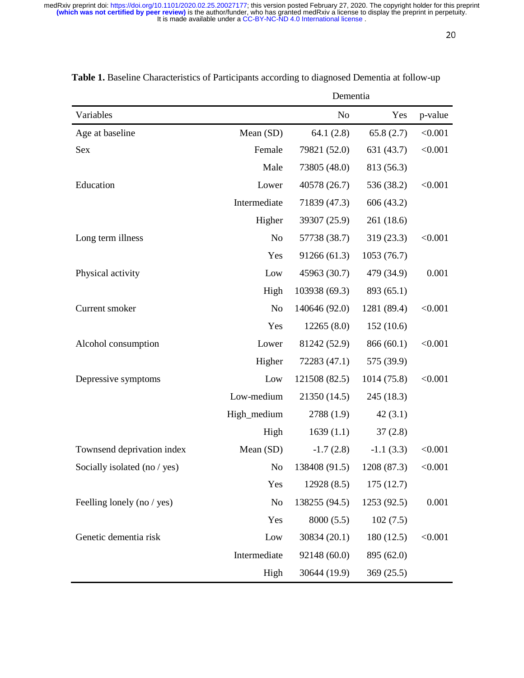|                              | Dementia       |                |             |         |
|------------------------------|----------------|----------------|-------------|---------|
| Variables                    |                | N <sub>o</sub> | Yes         | p-value |
| Age at baseline              | Mean (SD)      | 64.1(2.8)      | 65.8(2.7)   | < 0.001 |
| <b>Sex</b>                   | Female         | 79821 (52.0)   | 631 (43.7)  | < 0.001 |
|                              | Male           | 73805 (48.0)   | 813 (56.3)  |         |
| Education                    | Lower          | 40578 (26.7)   | 536 (38.2)  | < 0.001 |
|                              | Intermediate   | 71839 (47.3)   | 606 (43.2)  |         |
|                              | Higher         | 39307 (25.9)   | 261 (18.6)  |         |
| Long term illness            | N <sub>o</sub> | 57738 (38.7)   | 319 (23.3)  | < 0.001 |
|                              | Yes            | 91266(61.3)    | 1053 (76.7) |         |
| Physical activity            | Low            | 45963 (30.7)   | 479 (34.9)  | 0.001   |
|                              | High           | 103938 (69.3)  | 893 (65.1)  |         |
| Current smoker               | N <sub>o</sub> | 140646 (92.0)  | 1281 (89.4) | < 0.001 |
|                              | Yes            | 12265(8.0)     | 152(10.6)   |         |
| Alcohol consumption          | Lower          | 81242 (52.9)   | 866 (60.1)  | < 0.001 |
|                              | Higher         | 72283 (47.1)   | 575 (39.9)  |         |
| Depressive symptoms          | Low            | 121508 (82.5)  | 1014 (75.8) | < 0.001 |
|                              | Low-medium     | 21350 (14.5)   | 245 (18.3)  |         |
|                              | High_medium    | 2788 (1.9)     | 42(3.1)     |         |
|                              | High           | 1639(1.1)      | 37(2.8)     |         |
| Townsend deprivation index   | Mean (SD)      | $-1.7(2.8)$    | $-1.1(3.3)$ | < 0.001 |
| Socially isolated (no / yes) | N <sub>0</sub> | 138408 (91.5)  | 1208 (87.3) | < 0.001 |
|                              | Yes            | 12928 (8.5)    | 175(12.7)   |         |
| Feelling lonely (no / yes)   | N <sub>o</sub> | 138255 (94.5)  | 1253(92.5)  | 0.001   |
|                              | Yes            | 8000 (5.5)     | 102(7.5)    |         |
| Genetic dementia risk        | Low            | 30834 (20.1)   | 180 (12.5)  | < 0.001 |
|                              | Intermediate   | 92148 (60.0)   | 895 (62.0)  |         |
|                              | High           | 30644 (19.9)   | 369 (25.5)  |         |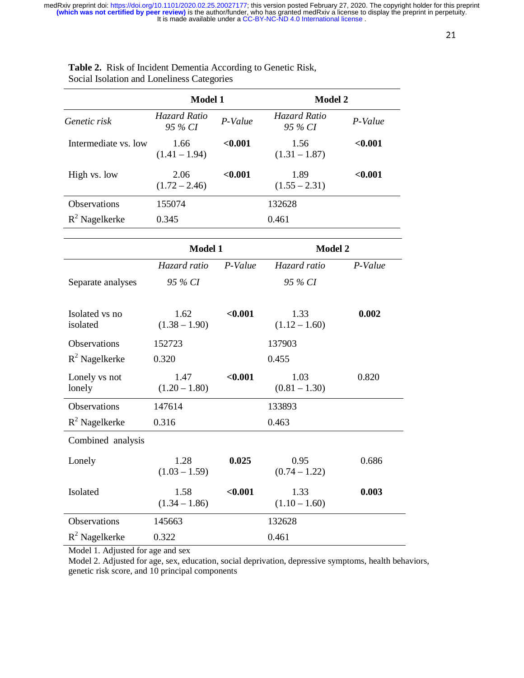|                      | <b>Model 1</b>          |         | <b>Model 2</b>          |         |
|----------------------|-------------------------|---------|-------------------------|---------|
| Genetic risk         | Hazard Ratio<br>95 % CI | P-Value | Hazard Ratio<br>95 % CI | P-Value |
| Intermediate vs. low | 1.66<br>$(1.41 - 1.94)$ | < 0.001 | 1.56<br>$(1.31 - 1.87)$ | < 0.001 |
| High vs. low         | 2.06<br>$(1.72 - 2.46)$ | < 0.001 | 1.89<br>$(1.55 - 2.31)$ | < 0.001 |
| Observations         | 155074                  |         | 132628                  |         |
| $R^2$ Nagelkerke     | 0.345                   |         | 0.461                   |         |

|                            | <b>Model 1</b>          |         | <b>Model 2</b>          |         |
|----------------------------|-------------------------|---------|-------------------------|---------|
|                            | Hazard ratio            | P-Value | Hazard ratio            | P-Value |
| Separate analyses          | 95 % CI                 |         | 95 % CI                 |         |
| Isolated vs no<br>isolated | 1.62<br>$(1.38 - 1.90)$ | < 0.001 | 1.33<br>$(1.12 - 1.60)$ | 0.002   |
| <b>Observations</b>        | 152723                  |         | 137903                  |         |
| $R^2$ Nagelkerke           | 0.320                   |         | 0.455                   |         |
| Lonely vs not<br>lonely    | 1.47<br>$(1.20 - 1.80)$ | < 0.001 | 1.03<br>$(0.81 - 1.30)$ | 0.820   |
| <b>Observations</b>        | 147614                  |         | 133893                  |         |
| $R^2$ Nagelkerke           | 0.316                   |         | 0.463                   |         |
| Combined analysis          |                         |         |                         |         |
| Lonely                     | 1.28<br>$(1.03 - 1.59)$ | 0.025   | 0.95<br>$(0.74 - 1.22)$ | 0.686   |
| Isolated                   | 1.58<br>$(1.34 - 1.86)$ | < 0.001 | 1.33<br>$(1.10 - 1.60)$ | 0.003   |
| <b>Observations</b>        | 145663                  |         | 132628                  |         |
| $R^2$ Nagelkerke           | 0.322                   |         | 0.461                   |         |

Model 1. Adjusted for age and sex

Model 2. Adjusted for age, sex, education, social deprivation, depressive symptoms, health behaviors, genetic risk score, and 10 principal components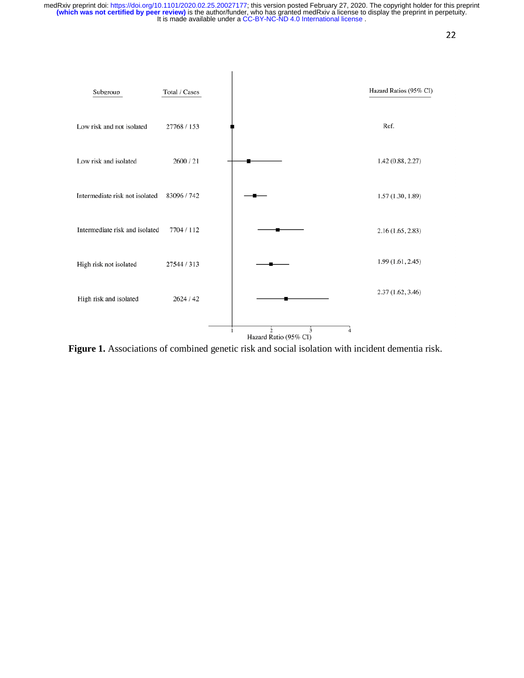22 - 222 - 222 - 222 - 222 - 222 - 222 - 222 - 222 - 222 - 222 - 222 - 222 - 222 - 222 - 222 - 222 - 222 - 22<br>222 - 222 - 222 - 222 - 222 - 222 - 222 - 222 - 222 - 222 - 222 - 222 - 222 - 222 - 222 - 222 - 222 - 222 - 22



**Figure 1.** Associations of combined genetic risk and social isolation with incident dementia risk.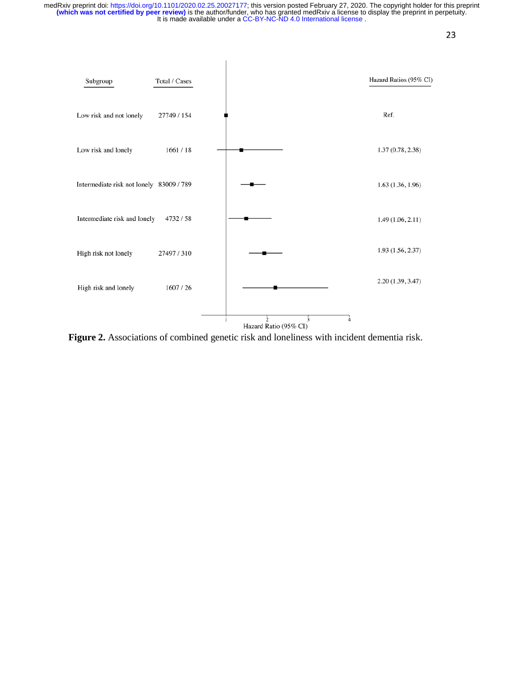23 August 2014 - 23 August 2014 - 23 August 2014 - 23 August 2014 - 23 August 2014 - 23 August 2014 - 23 Augus<br>23 August 2014 - 23 August 2014 - 23 August 2014 - 23 August 2014 - 23 August 2014 - 23 August 2014 - 23 Augus



**Figure 2.** Associations of combined genetic risk and loneliness with incident dementia risk.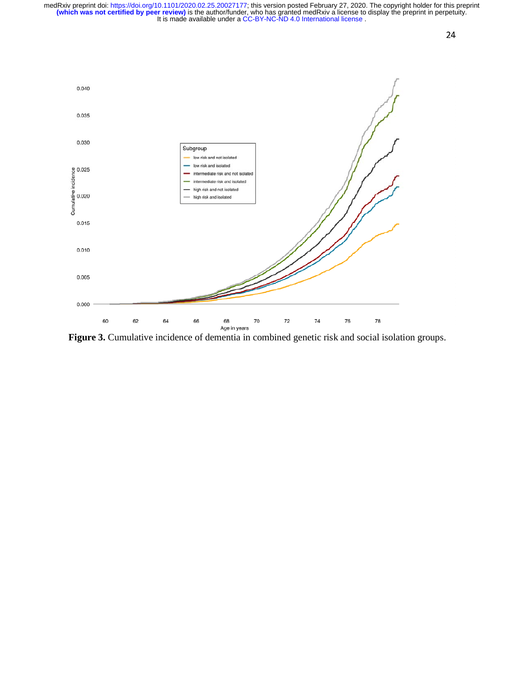



**Figure 3.** Cumulative incidence of dementia in combined genetic risk and social isolation groups.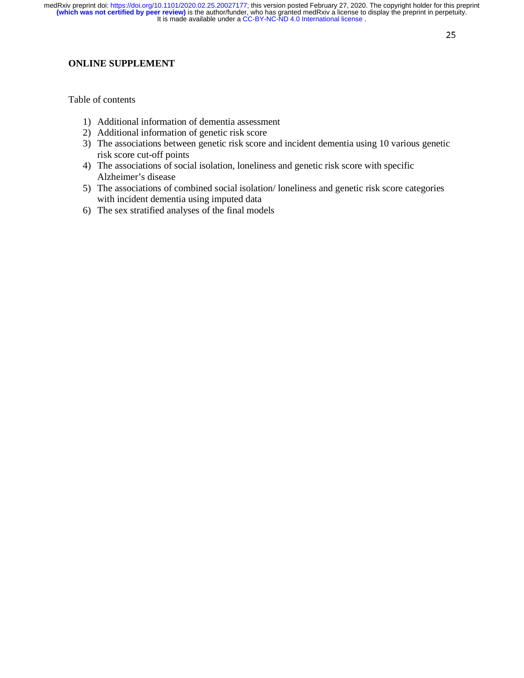## 25

# **ONLINE SUPPLEMENT**

 Table of contents

- 1) Additional information of dementia assessment
- 2) Additional information of genetic risk score
- **CONCINE SUPPLEMENT**<br>
2) Additional information of dementia assessment<br>
2) Additional information of genetic risk score<br>
3) The associations between genetic risk score and incident dementia using 10 various genetic<br>
1) The 3) The associations between genetic risk score and incident dementia using 10 various genetic risk score cut-off points
	- 4) The associations of social isolation, loneliness and genetic risk score with specific Alzheimer's disease
	- 5) The associations of combined social isolation/ loneliness and genetic risk score categories with incident dementia using imputed data
	- 6) The sex stratified analyses of the final models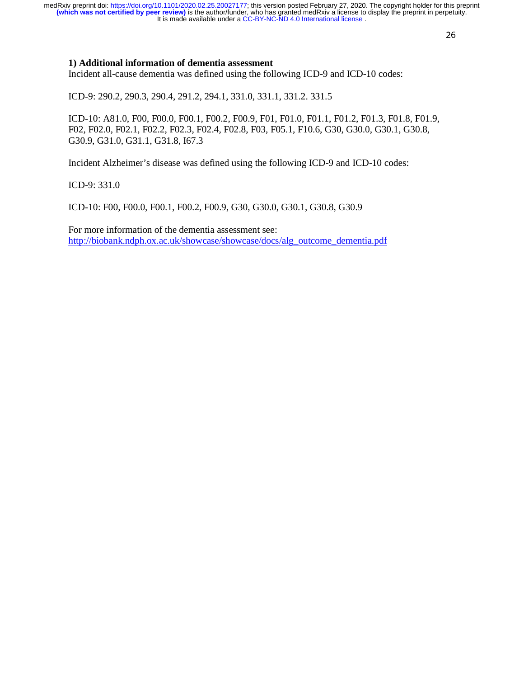26

## **1) Additional information of dementia assessment**

Incident all-cause dementia was defined using the following ICD-9 and ICD-10 codes:

ICD-9: 290.2, 290.3, 290.4, 291.2, 294.1, 331.0, 331.1, 331.2. 331.5

1) Additional information of dementia assessment<br>Incident all-cause dementia was defined using the following ICD-9 and ICD-10 codes:<br>ICD-9: 290.2, 290.3, 290.4, 291.2, 294.1, 331.0, 331.1, 331.2, 331.5<br>ICD-10: A81.0, F00, ICD-10: A81.0, F00, F00.0, F00.1, F00.2, F00.9, F01, F01.0, F01.1, F01.2, F01.3, F01.8, F01.9, F02, F02.0, F02.1, F02.2, F02.3, F02.4, F02.8, F03, F05.1, F10.6, G30, G30.0, G30.1, G30.8, G30.9, G31.0, G31.1, G31.8, I67.3

Incident Alzheimer's disease was defined using the following ICD-9 and ICD-10 codes:

ICD-9: 331.0

ICD-10: F00, F00.0, F00.1, F00.2, F00.9, G30, G30.0, G30.1, G30.8, G30.9

For more information of the dementia assessment see: http://biobank.ndph.ox.ac.uk/showcase/showcase/docs/alg\_outcome\_dementia.pdf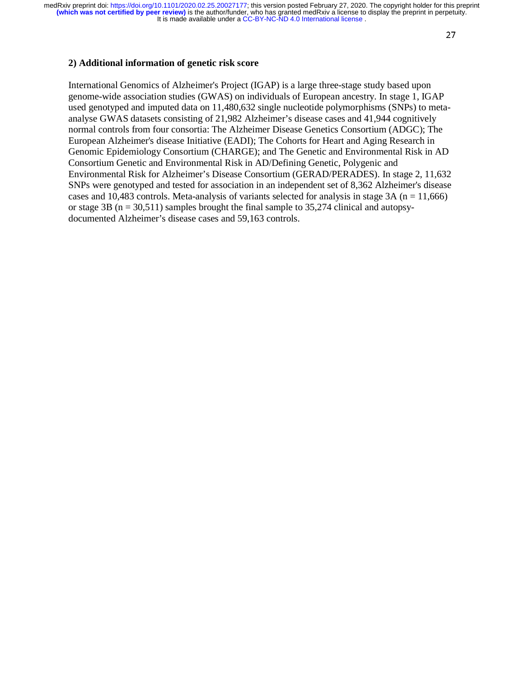#### **2) Additional information of genetic risk score**

2) Additional information of genetic risk score<br>
International Genomics of Alzheimer's Project (IGAP) is a large three-stage study based upon<br>
genome-wide association studies (GWAS) on individuals of European ancestry. In International Genomics of Alzheimer's Project (IGAP) is a large three-stage study based upon genome-wide association studies (GWAS) on individuals of European ancestry. In stage 1, IGAP used genotyped and imputed data on 11,480,632 single nucleotide polymorphisms (SNPs) to metaanalyse GWAS datasets consisting of 21,982 Alzheimer's disease cases and 41,944 cognitively normal controls from four consortia: The Alzheimer Disease Genetics Consortium (ADGC); The European Alzheimer's disease Initiative (EADI); The Cohorts for Heart and Aging Research in Genomic Epidemiology Consortium (CHARGE); and The Genetic and Environmental Risk in AD Consortium Genetic and Environmental Risk in AD/Defining Genetic, Polygenic and Environmental Risk for Alzheimer's Disease Consortium (GERAD/PERADES). In stage 2, 11,632 SNPs were genotyped and tested for association in an independent set of 8,362 Alzheimer's disease cases and 10,483 controls. Meta-analysis of variants selected for analysis in stage 3A ( $n = 11,666$ ) or stage 3B ( $n = 30,511$ ) samples brought the final sample to 35,274 clinical and autopsydocumented Alzheimer's disease cases and 59,163 controls.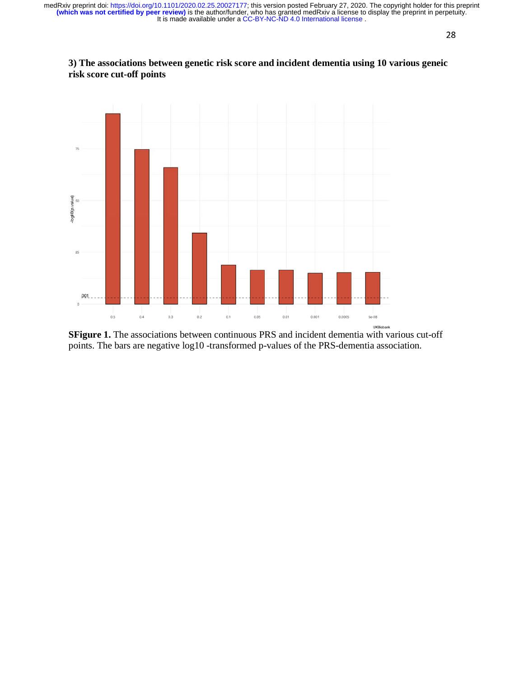28



## **3) The associations between genetic risk score and incident dementia using 10 various geneic risk score cut-off points**

**SFigure 1.** The associations between continuous PRS and incident dementia with various cut-off points. The bars are negative log10 -transformed p-values of the PRS-dementia association.

UKBiobank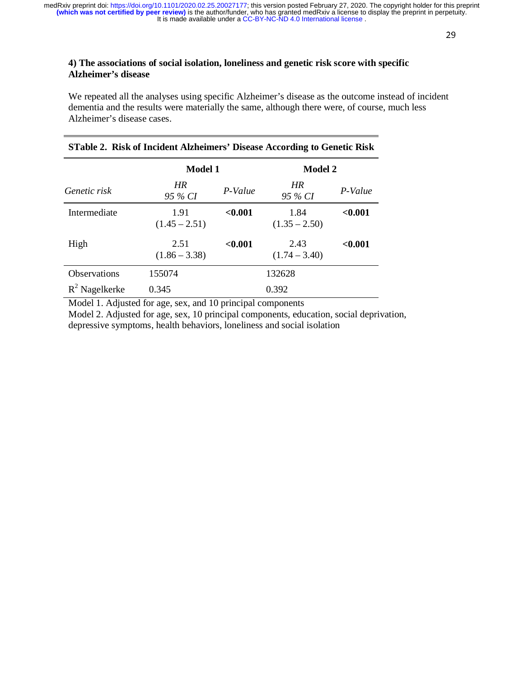## **4) The associations of social isolation, loneliness and genetic risk score with specific Alzheimer's disease**

| Alzheimer's disease        | 4) The associations of social isolation, loneliness and genetic risk score with specific                                                                                                           |         |                         |         |
|----------------------------|----------------------------------------------------------------------------------------------------------------------------------------------------------------------------------------------------|---------|-------------------------|---------|
| Alzheimer's disease cases. | We repeated all the analyses using specific Alzheimer's disease as the outcome instead of incident<br>dementia and the results were materially the same, although there were, of course, much less |         |                         |         |
|                            | STable 2. Risk of Incident Alzheimers' Disease According to Genetic Risk                                                                                                                           |         |                         |         |
|                            | <b>Model 1</b>                                                                                                                                                                                     |         | <b>Model 2</b>          |         |
| Genetic risk               | HR<br>95 % CI                                                                                                                                                                                      | P-Value | HR<br>95 % CI           | P-Value |
| Intermediate               | 1.91<br>$(1.45 - 2.51)$                                                                                                                                                                            | < 0.001 | 1.84<br>$(1.35 - 2.50)$ | < 0.001 |
| High                       | 2.51<br>$(1.86 - 3.38)$                                                                                                                                                                            | < 0.001 | 2.43<br>$(1.74 - 3.40)$ | < 0.001 |
| Observations               | 155074                                                                                                                                                                                             |         | 132628                  |         |
| $R^2$ Nagelkerke           | 0.345                                                                                                                                                                                              |         | 0.392                   |         |

## **STable 2. Risk of Incident Alzheimers' Disease According to Genetic Risk**

Model 1. Adjusted for age, sex, and 10 principal components

Model 2. Adjusted for age, sex, 10 principal components, education, social deprivation, depressive symptoms, health behaviors, loneliness and social isolation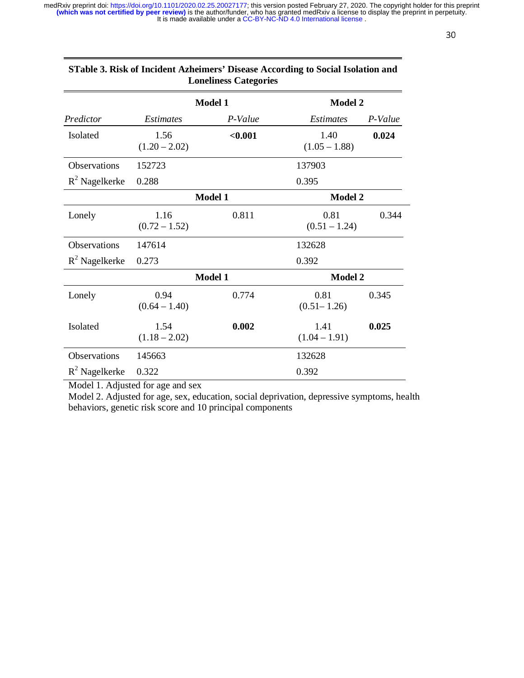|                     |                         | <b>Loneliness Categories</b> | STable 3. Risk of Incident Azheimers' Disease According to Social Isolation and |         |
|---------------------|-------------------------|------------------------------|---------------------------------------------------------------------------------|---------|
|                     |                         | <b>Model 1</b>               | <b>Model 2</b>                                                                  |         |
| Predictor           | <i>Estimates</i>        | P-Value                      | <b>Estimates</b>                                                                | P-Value |
| Isolated            | 1.56<br>$(1.20 - 2.02)$ | < 0.001                      | 1.40<br>$(1.05 - 1.88)$                                                         | 0.024   |
| <b>Observations</b> | 152723                  |                              | 137903                                                                          |         |
| $R^2$ Nagelkerke    | 0.288                   |                              | 0.395                                                                           |         |
|                     |                         | <b>Model 1</b>               | <b>Model 2</b>                                                                  |         |
| Lonely              | 1.16<br>$(0.72 - 1.52)$ | 0.811                        | 0.81<br>$(0.51 - 1.24)$                                                         | 0.344   |
| <b>Observations</b> | 147614                  |                              | 132628                                                                          |         |
| $R^2$ Nagelkerke    | 0.273                   |                              | 0.392                                                                           |         |
|                     |                         | <b>Model 1</b>               | <b>Model 2</b>                                                                  |         |
| Lonely              | 0.94<br>$(0.64 - 1.40)$ | 0.774                        | 0.81<br>$(0.51 - 1.26)$                                                         | 0.345   |
| Isolated            | 1.54<br>$(1.18 - 2.02)$ | 0.002                        | 1.41<br>$(1.04 - 1.91)$                                                         | 0.025   |
| Observations        | 145663                  |                              | 132628                                                                          |         |
| $R^2$ Nagelkerke    | 0.322                   |                              | 0.392                                                                           |         |

# **STable 3. Risk of Incident Azheimers' Disease According to Social Isolation and**

Model 1. Adjusted for age and sex

Model 2. Adjusted for age, sex, education, social deprivation, depressive symptoms, health behaviors, genetic risk score and 10 principal components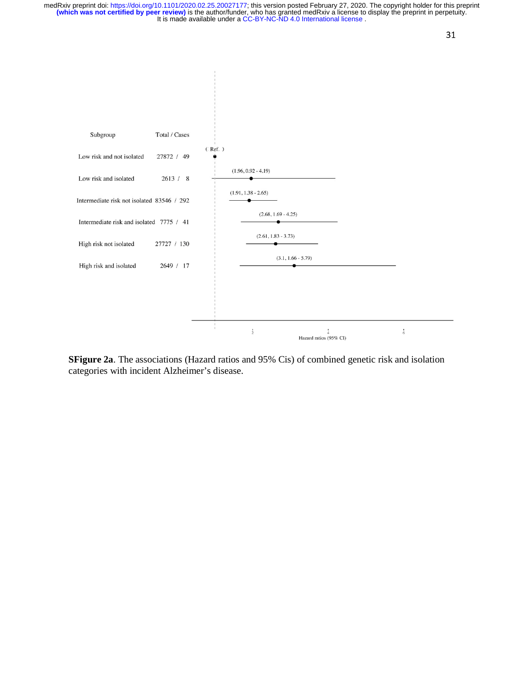

**SFigure 2a**. The associations (Hazard ratios and 95% Cis) of combined genetic risk and isolation categories with incident Alzheimer's disease.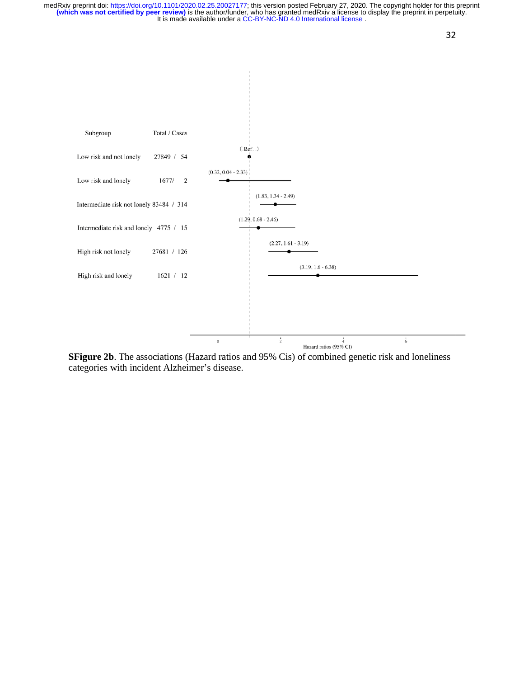and the second control of the second control of the second control of the second control of the second control o



**SFigure 2b**. The associations (Hazard ratios and 95% Cis) of combined genetic risk and loneliness categories with incident Alzheimer's disease.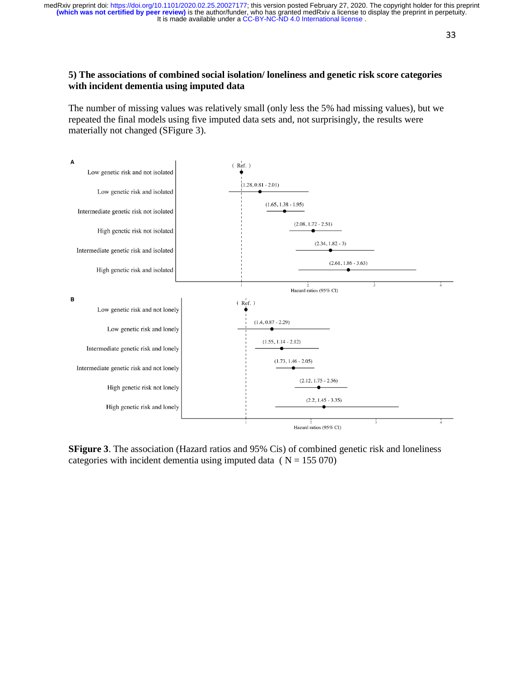It is made available under a [CC-BY-NC-ND 4.0 International license](http://creativecommons.org/licenses/by-nc-nd/4.0/) . **(which was not certified by peer review)** is the author/funder, who has granted medRxiv a license to display the preprint in perpetuity. medRxiv preprint doi: [https://doi.org/10.1101/2020.02.25.20027177;](https://doi.org/10.1101/2020.02.25.20027177) this version posted February 27, 2020. The copyright holder for this preprint

and the state of the state of the state of the state of the state of the state of the state of the state of th<br>State of the state of the state of the state of the state of the state of the state of the state of the state

# **5) The associations of combined social isolation/ loneliness and genetic risk score categories with incident dementia using imputed data**

The number of missing values was relatively small (only less the 5% had missing values), but we repeated the final models using five imputed data sets and, not surprisingly, the results were materially not changed (SFigure 3).



**SFigure 3**. The association (Hazard ratios and 95% Cis) of combined genetic risk and loneliness categories with incident dementia using imputed data ( $N = 155070$ )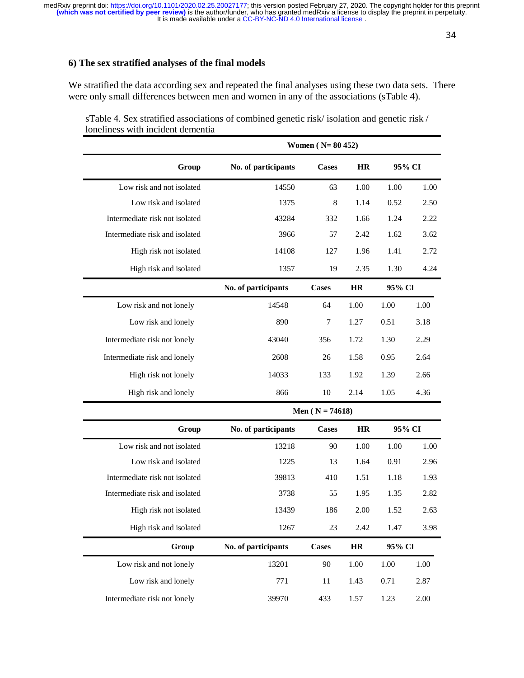34

## **6) The sex stratified analyses of the final models**

| We stratified the data according sex and repeated the final analyses using these two data sets. There<br>were only small differences between men and women in any of the associations (sTable 4). |                     |                       |      |        |      |
|---------------------------------------------------------------------------------------------------------------------------------------------------------------------------------------------------|---------------------|-----------------------|------|--------|------|
| sTable 4. Sex stratified associations of combined genetic risk/ isolation and genetic risk/<br>loneliness with incident dementia                                                                  |                     |                       |      |        |      |
|                                                                                                                                                                                                   |                     | Women ( $N = 80452$ ) |      |        |      |
| Group                                                                                                                                                                                             | No. of participants | <b>Cases</b>          | HR   | 95% CI |      |
| Low risk and not isolated                                                                                                                                                                         | 14550               | 63                    | 1.00 | 1.00   | 1.00 |
| Low risk and isolated                                                                                                                                                                             | 1375                | 8                     | 1.14 | 0.52   | 2.50 |
| Intermediate risk not isolated                                                                                                                                                                    | 43284               | 332                   | 1.66 | 1.24   | 2.22 |
| Intermediate risk and isolated                                                                                                                                                                    | 3966                | 57                    | 2.42 | 1.62   | 3.62 |
| High risk not isolated                                                                                                                                                                            | 14108               | 127                   | 1.96 | 1.41   | 2.72 |
| High risk and isolated                                                                                                                                                                            | 1357                | 19                    | 2.35 | 1.30   | 4.24 |
|                                                                                                                                                                                                   | No. of participants | <b>Cases</b>          | HR   | 95% CI |      |
| Low risk and not lonely                                                                                                                                                                           | 14548               | 64                    | 1.00 | 1.00   | 1.00 |
| Low risk and lonely                                                                                                                                                                               | 890                 | 7                     | 1.27 | 0.51   | 3.18 |
| Intermediate risk not lonely                                                                                                                                                                      | 43040               | 356                   | 1.72 | 1.30   | 2.29 |
| Intermediate risk and lonely                                                                                                                                                                      | 2608                | 26                    | 1.58 | 0.95   | 2.64 |
| High risk not lonely                                                                                                                                                                              | 14033               | 133                   | 1.92 | 1.39   | 2.66 |
| High risk and lonely                                                                                                                                                                              | 866                 | 10                    | 2.14 | 1.05   | 4.36 |
|                                                                                                                                                                                                   |                     | Men $(N = 74618)$     |      |        |      |
| Group                                                                                                                                                                                             | No. of participants | <b>Cases</b>          | HR   | 95% CI |      |
| Low risk and not isolated                                                                                                                                                                         | 13218               | 90                    | 1.00 | 1.00   | 1.00 |
| Low risk and isolated                                                                                                                                                                             | 1225                | 13                    | 1.64 | 0.91   | 2.96 |
| Intermediate risk not isolated                                                                                                                                                                    | 39813               | 410                   | 1.51 | 1.18   | 1.93 |
| Intermediate risk and isolated                                                                                                                                                                    | 3738                | 55                    | 1.95 | 1.35   | 2.82 |
| High risk not isolated                                                                                                                                                                            | 13439               | 186                   | 2.00 | 1.52   | 2.63 |
| High risk and isolated                                                                                                                                                                            | 1267                | 23                    | 2.42 | 1.47   | 3.98 |
| Group                                                                                                                                                                                             | No. of participants | <b>Cases</b>          | HR   | 95% CI |      |
| Low risk and not lonely                                                                                                                                                                           | 13201               | 90                    | 1.00 | 1.00   | 1.00 |
| Low risk and lonely                                                                                                                                                                               | 771                 | 11                    | 1.43 | 0.71   | 2.87 |
| Intermediate risk not lonely                                                                                                                                                                      | 39970               | 433                   | 1.57 | 1.23   | 2.00 |

sTable 4. Sex stratified associations of combined genetic risk/ isolation and genetic risk / loneliness with incident dementia